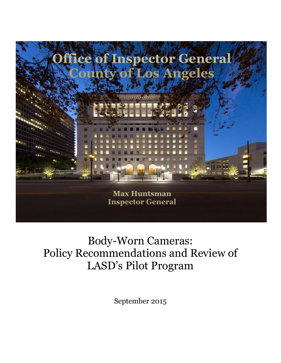

## Body-Worn Cameras: Policy Recommendations and Review of LASD's Pilot Program

September 2015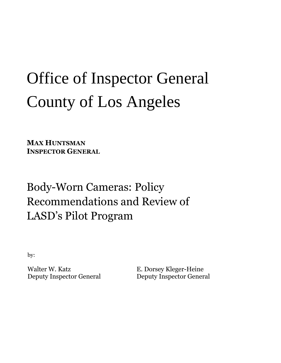# Office of Inspector General County of Los Angeles

**MAX HUNTSMAN INSPECTOR GENERAL**

## Body-Worn Cameras: Policy Recommendations and Review of LASD's Pilot Program

by:

Walter W. Katz Deputy Inspector General E. Dorsey Kleger-Heine Deputy Inspector General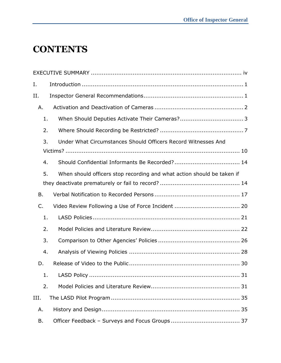## **CONTENTS**

| Ι.   |                                                                        |
|------|------------------------------------------------------------------------|
| и.   |                                                                        |
| Α.   |                                                                        |
| 1.   |                                                                        |
| 2.   |                                                                        |
| 3.   | Under What Circumstances Should Officers Record Witnesses And          |
|      |                                                                        |
| 4.   |                                                                        |
| 5.   | When should officers stop recording and what action should be taken if |
|      |                                                                        |
| Β.   |                                                                        |
| C.   |                                                                        |
| 1.   |                                                                        |
| 2.   |                                                                        |
| 3.   |                                                                        |
| 4.   |                                                                        |
| D.   |                                                                        |
|      |                                                                        |
| 2.   |                                                                        |
| III. |                                                                        |
| Α.   |                                                                        |
| В.   |                                                                        |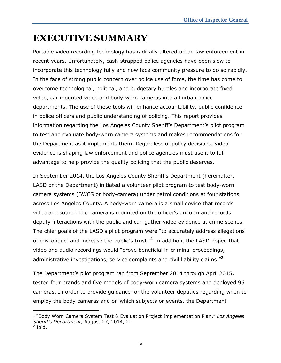## <span id="page-4-0"></span>**EXECUTIVE SUMMARY**

Portable video recording technology has radically altered urban law enforcement in recent years. Unfortunately, cash-strapped police agencies have been slow to incorporate this technology fully and now face community pressure to do so rapidly. In the face of strong public concern over police use of force, the time has come to overcome technological, political, and budgetary hurdles and incorporate fixed video, car mounted video and body-worn cameras into all urban police departments. The use of these tools will enhance accountability, public confidence in police officers and public understanding of policing. This report provides information regarding the Los Angeles County Sheriff's Department's pilot program to test and evaluate body-worn camera systems and makes recommendations for the Department as it implements them. Regardless of policy decisions, video evidence is shaping law enforcement and police agencies must use it to full advantage to help provide the quality policing that the public deserves.

In September 2014, the Los Angeles County Sheriff's Department (hereinafter, LASD or the Department) initiated a volunteer pilot program to test body-worn camera systems (BWCS or body-camera) under patrol conditions at four stations across Los Angeles County. A body-worn camera is a small device that records video and sound. The camera is mounted on the officer's uniform and records deputy interactions with the public and can gather video evidence at crime scenes. The chief goals of the LASD's pilot program were "to accurately address allegations of misconduct and increase the public's trust. $^{\prime\prime}{}^{1}$  In addition, the LASD hoped that video and audio recordings would "prove beneficial in criminal proceedings, administrative investigations, service complaints and civil liability claims."<sup>2</sup>

The Department's pilot program ran from September 2014 through April 2015, tested four brands and five models of body-worn camera systems and deployed 96 cameras. In order to provide guidance for the volunteer deputies regarding when to employ the body cameras and on which subjects or events, the Department

<sup>1</sup> "Body Worn Camera System Test & Evaluation Project Implementation Plan," *Los Angeles Sheriff's Department*, August 27, 2014, 2. 2 Ibid.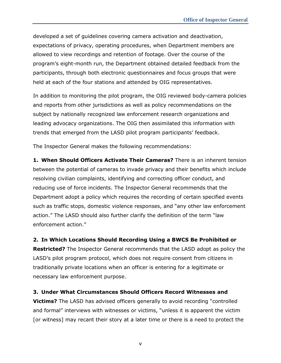developed a set of guidelines covering camera activation and deactivation, expectations of privacy, operating procedures, when Department members are allowed to view recordings and retention of footage. Over the course of the program's eight-month run, the Department obtained detailed feedback from the participants, through both electronic questionnaires and focus groups that were held at each of the four stations and attended by OIG representatives.

In addition to monitoring the pilot program, the OIG reviewed body-camera policies and reports from other jurisdictions as well as policy recommendations on the subject by nationally recognized law enforcement research organizations and leading advocacy organizations. The OIG then assimilated this information with trends that emerged from the LASD pilot program participants' feedback.

The Inspector General makes the following recommendations:

**1. When Should Officers Activate Their Cameras?** There is an inherent tension between the potential of cameras to invade privacy and their benefits which include resolving civilian complaints, identifying and correcting officer conduct, and reducing use of force incidents. The Inspector General recommends that the Department adopt a policy which requires the recording of certain specified events such as traffic stops, domestic violence responses, and "any other law enforcement action." The LASD should also further clarify the definition of the term "law enforcement action."

**2. In Which Locations Should Recording Using a BWCS Be Prohibited or Restricted?** The Inspector General recommends that the LASD adopt as policy the LASD's pilot program protocol, which does not require consent from citizens in traditionally private locations when an officer is entering for a legitimate or necessary law enforcement purpose.

**3. Under What Circumstances Should Officers Record Witnesses and Victims?** The LASD has advised officers generally to avoid recording "controlled and formal" interviews with witnesses or victims, "unless it is apparent the victim [or witness] may recant their story at a later time or there is a need to protect the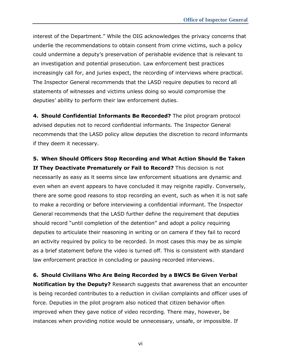interest of the Department." While the OIG acknowledges the privacy concerns that underlie the recommendations to obtain consent from crime victims, such a policy could undermine a deputy's preservation of perishable evidence that is relevant to an investigation and potential prosecution. Law enforcement best practices increasingly call for, and juries expect, the recording of interviews where practical. The Inspector General recommends that the LASD require deputies to record all statements of witnesses and victims unless doing so would compromise the deputies' ability to perform their law enforcement duties.

**4. Should Confidential Informants Be Recorded?** The pilot program protocol advised deputies not to record confidential informants. The Inspector General recommends that the LASD policy allow deputies the discretion to record informants if they deem it necessary.

**5. When Should Officers Stop Recording and What Action Should Be Taken If They Deactivate Prematurely or Fail to Record?** This decision is not necessarily as easy as it seems since law enforcement situations are dynamic and even when an event appears to have concluded it may reignite rapidly. Conversely, there are some good reasons to stop recording an event, such as when it is not safe to make a recording or before interviewing a confidential informant. The Inspector General recommends that the LASD further define the requirement that deputies should record "until completion of the detention" and adopt a policy requiring deputies to articulate their reasoning in writing or on camera if they fail to record an activity required by policy to be recorded. In most cases this may be as simple as a brief statement before the video is turned off. This is consistent with standard law enforcement practice in concluding or pausing recorded interviews.

**6. Should Civilians Who Are Being Recorded by a BWCS Be Given Verbal** 

**Notification by the Deputy?** Research suggests that awareness that an encounter is being recorded contributes to a reduction in civilian complaints and officer uses of force. Deputies in the pilot program also noticed that citizen behavior often improved when they gave notice of video recording. There may, however, be instances when providing notice would be unnecessary, unsafe, or impossible. If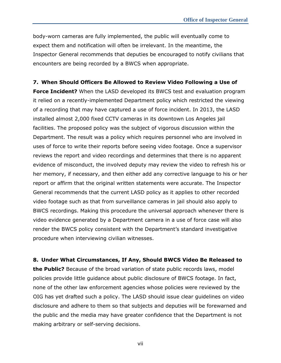body-worn cameras are fully implemented, the public will eventually come to expect them and notification will often be irrelevant. In the meantime, the Inspector General recommends that deputies be encouraged to notify civilians that encounters are being recorded by a BWCS when appropriate.

#### **7. When Should Officers Be Allowed to Review Video Following a Use of**

**Force Incident?** When the LASD developed its BWCS test and evaluation program it relied on a recently-implemented Department policy which restricted the viewing of a recording that may have captured a use of force incident. In 2013, the LASD installed almost 2,000 fixed CCTV cameras in its downtown Los Angeles jail facilities. The proposed policy was the subject of vigorous discussion within the Department. The result was a policy which requires personnel who are involved in uses of force to write their reports before seeing video footage. Once a supervisor reviews the report and video recordings and determines that there is no apparent evidence of misconduct, the involved deputy may review the video to refresh his or her memory, if necessary, and then either add any corrective language to his or her report or affirm that the original written statements were accurate. The Inspector General recommends that the current LASD policy as it applies to other recorded video footage such as that from surveillance cameras in jail should also apply to BWCS recordings. Making this procedure the universal approach whenever there is video evidence generated by a Department camera in a use of force case will also render the BWCS policy consistent with the Department's standard investigative procedure when interviewing civilian witnesses.

**8. Under What Circumstances, If Any, Should BWCS Video Be Released to the Public?** Because of the broad variation of state public records laws, model policies provide little guidance about public disclosure of BWCS footage. In fact, none of the other law enforcement agencies whose policies were reviewed by the OIG has yet drafted such a policy. The LASD should issue clear guidelines on video disclosure and adhere to them so that subjects and deputies will be forewarned and the public and the media may have greater confidence that the Department is not making arbitrary or self-serving decisions.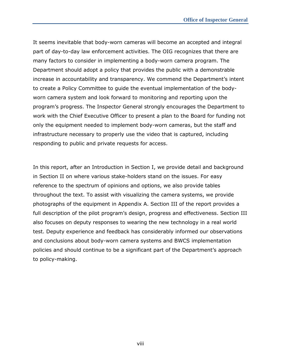It seems inevitable that body-worn cameras will become an accepted and integral part of day-to-day law enforcement activities. The OIG recognizes that there are many factors to consider in implementing a body-worn camera program. The Department should adopt a policy that provides the public with a demonstrable increase in accountability and transparency. We commend the Department's intent to create a Policy Committee to guide the eventual implementation of the bodyworn camera system and look forward to monitoring and reporting upon the program's progress. The Inspector General strongly encourages the Department to work with the Chief Executive Officer to present a plan to the Board for funding not only the equipment needed to implement body-worn cameras, but the staff and infrastructure necessary to properly use the video that is captured, including responding to public and private requests for access.

In this report, after an Introduction in Section I, we provide detail and background in Section II on where various stake-holders stand on the issues. For easy reference to the spectrum of opinions and options, we also provide tables throughout the text. To assist with visualizing the camera systems, we provide photographs of the equipment in Appendix A. Section III of the report provides a full description of the pilot program's design, progress and effectiveness. Section III also focuses on deputy responses to wearing the new technology in a real world test. Deputy experience and feedback has considerably informed our observations and conclusions about body-worn camera systems and BWCS implementation policies and should continue to be a significant part of the Department's approach to policy-making.

viii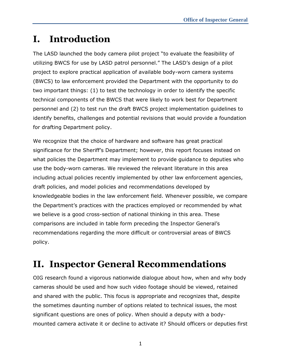## <span id="page-9-0"></span>**I. Introduction**

The LASD launched the body camera pilot project "to evaluate the feasibility of utilizing BWCS for use by LASD patrol personnel." The LASD's design of a pilot project to explore practical application of available body-worn camera systems (BWCS) to law enforcement provided the Department with the opportunity to do two important things: (1) to test the technology in order to identify the specific technical components of the BWCS that were likely to work best for Department personnel and (2) to test run the draft BWCS project implementation guidelines to identify benefits, challenges and potential revisions that would provide a foundation for drafting Department policy.

We recognize that the choice of hardware and software has great practical significance for the Sheriff's Department; however, this report focuses instead on what policies the Department may implement to provide guidance to deputies who use the body-worn cameras. We reviewed the relevant literature in this area including actual policies recently implemented by other law enforcement agencies, draft policies, and model policies and recommendations developed by knowledgeable bodies in the law enforcement field. Whenever possible, we compare the Department's practices with the practices employed or recommended by what we believe is a good cross-section of national thinking in this area. These comparisons are included in table form preceding the Inspector General's recommendations regarding the more difficult or controversial areas of BWCS policy.

## <span id="page-9-1"></span>**II. Inspector General Recommendations**

OIG research found a vigorous nationwide dialogue about how, when and why body cameras should be used and how such video footage should be viewed, retained and shared with the public. This focus is appropriate and recognizes that, despite the sometimes daunting number of options related to technical issues, the most significant questions are ones of policy. When should a deputy with a bodymounted camera activate it or decline to activate it? Should officers or deputies first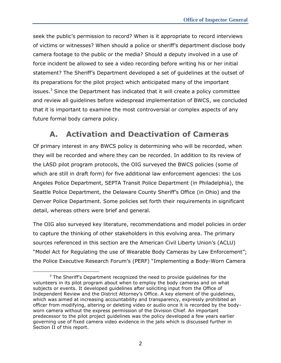seek the public's permission to record? When is it appropriate to record interviews of victims or witnesses? When should a police or sheriff's department disclose body camera footage to the public or the media? Should a deputy involved in a use of force incident be allowed to see a video recording before writing his or her initial statement? The Sheriff's Department developed a set of guidelines at the outset of its preparations for the pilot project which anticipated many of the important issues. $3$  Since the Department has indicated that it will create a policy committee and review all guidelines before widespread implementation of BWCS, we concluded that it is important to examine the most controversial or complex aspects of any future formal body camera policy.

## **A. Activation and Deactivation of Cameras**

<span id="page-10-0"></span>Of primary interest in any BWCS policy is determining who will be recorded, when they will be recorded and where they can be recorded. In addition to its review of the LASD pilot program protocols, the OIG surveyed the BWCS policies (some of which are still in draft form) for five additional law enforcement agencies: the Los Angeles Police Department, SEPTA Transit Police Department (in Philadelphia), the Seattle Police Department, the Delaware County Sheriff's Office (in Ohio) and the Denver Police Department. Some policies set forth their requirements in significant detail, whereas others were brief and general.

The OIG also surveyed key literature, recommendations and model policies in order to capture the thinking of other stakeholders in this evolving area. The primary sources referenced in this section are the American Civil Liberty Union's (ACLU) "Model Act for Regulating the use of Wearable Body Cameras by Law Enforcement"; the Police Executive Research Forum's (PERF) "Implementing a Body-Worn Camera

j  $3$  The Sheriff's Department recognized the need to provide quidelines for the volunteers in its pilot program about when to employ the body cameras and on what subjects or events. It developed guidelines after soliciting input from the Office of Independent Review and the District Attorney's Office. A key element of the guidelines, which was aimed at increasing accountability and transparency, expressly prohibited an officer from modifying, altering or deleting video or audio once it is recorded by the bodyworn camera without the express permission of the Division Chief. An important predecessor to the pilot project guidelines was the policy developed a few years earlier governing use of fixed camera video evidence in the jails which is discussed further in Section II of this report.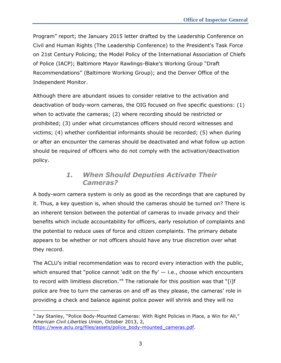Program" report; the January 2015 letter drafted by the Leadership Conference on Civil and Human Rights (The Leadership Conference) to the President's Task Force on 21st Century Policing; the Model Policy of the International Association of Chiefs of Police (IACP); Baltimore Mayor Rawlings-Blake's Working Group "Draft Recommendations" (Baltimore Working Group); and the Denver Office of the Independent Monitor.

Although there are abundant issues to consider relative to the activation and deactivation of body-worn cameras, the OIG focused on five specific questions: (1) when to activate the cameras; (2) where recording should be restricted or prohibited; (3) under what circumstances officers should record witnesses and victims; (4) whether confidential informants should be recorded; (5) when during or after an encounter the cameras should be deactivated and what follow up action should be required of officers who do not comply with the activation/deactivation policy.

### *1. When Should Deputies Activate Their Cameras?*

<span id="page-11-0"></span>A body-worn camera system is only as good as the recordings that are captured by it. Thus, a key question is, when should the cameras should be turned on? There is an inherent tension between the potential of cameras to invade privacy and their benefits which include accountability for officers, early resolution of complaints and the potential to reduce uses of force and citizen complaints. The primary debate appears to be whether or not officers should have any true discretion over what they record.

The ACLU's initial recommendation was to record every interaction with the public, which ensured that "police cannot 'edit on the fly'  $-$  i.e., choose which encounters to record with limitless discretion." $4$  The rationale for this position was that "[i]f police are free to turn the cameras on and off as they please, the cameras' role in providing a check and balance against police power will shrink and they will no

<sup>-</sup><sup>4</sup> Jay Stanley, "Police Body-Mounted Cameras: With Right Policies in Place, a Win for All," *American Civil Liberties Union*, October 2013, 2, [https://www.aclu.org/files/assets/police\\_body-mounted\\_cameras.pdf.](https://www.aclu.org/files/assets/police_body-mounted_cameras.pdf)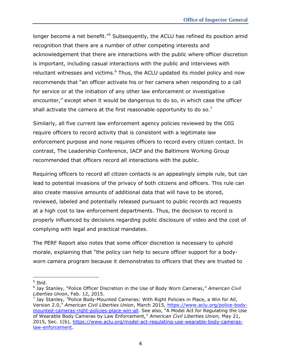longer become a net benefit."<sup>5</sup> Subsequently, the ACLU has refined its position amid recognition that there are a number of other competing interests and acknowledgement that there are interactions with the public where officer discretion is important, including casual interactions with the public and interviews with reluctant witnesses and victims.<sup>6</sup> Thus, the ACLU updated its model policy and now recommends that "an officer activate his or her camera when responding to a call for service or at the initiation of any other law enforcement or investigative encounter," except when it would be dangerous to do so, in which case the officer shall activate the camera at the first reasonable opportunity to do so.<sup>7</sup>

Similarly, all five current law enforcement agency policies reviewed by the OIG require officers to record activity that is consistent with a legitimate law enforcement purpose and none requires officers to record every citizen contact. In contrast, The Leadership Conference, IACP and the Baltimore Working Group recommended that officers record all interactions with the public.

Requiring officers to record all citizen contacts is an appealingly simple rule, but can lead to potential invasions of the privacy of both citizens and officers. This rule can also create massive amounts of additional data that will have to be stored, reviewed, labeled and potentially released pursuant to public records act requests at a high cost to law enforcement departments. Thus, the decision to record is properly influenced by decisions regarding public disclosure of video and the cost of complying with legal and practical mandates.

The PERF Report also notes that some officer discretion is necessary to uphold morale, explaining that "the policy can help to secure officer support for a bodyworn camera program because it demonstrates to officers that they are trusted to

 $\overline{a}$ 

 $<sup>5</sup>$  Ibid.</sup>

<sup>6</sup> Jay Stanley, "Police Officer Discretion in the Use of Body Worn Cameras," *American Civil Liberties Union*, Feb. 12, 2015.

<sup>7</sup> Jay Stanley, *"*Police Body-Mounted Cameras: With Right Policies in Place, a Win for All, Version 2.0," *American Civil Liberties Union*, March 2015, [https://www.aclu.org/police-body](https://www.aclu.org/police-body-mounted-cameras-right-policies-place-win-all)[mounted-cameras-right-policies-place-win-all.](https://www.aclu.org/police-body-mounted-cameras-right-policies-place-win-all) See also, "A Model Act for Regulating the Use of Wearable Body Cameras by Law Enforcement*,*" *American Civil Liberties Union,* May 21, 2015, Sec. 1(b), [https://www.aclu.org/model-act-regulating-use-wearable-body-cameras](https://www.aclu.org/model-act-regulating-use-wearable-body-cameras-law-enforcement)[law-enforcement.](https://www.aclu.org/model-act-regulating-use-wearable-body-cameras-law-enforcement)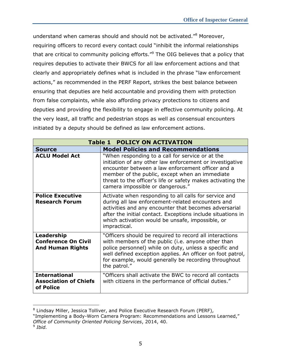understand when cameras should and should not be activated." <sup>8</sup> Moreover, requiring officers to record every contact could "inhibit the informal relationships that are critical to community policing efforts."<sup>9</sup> The OIG believes that a policy that requires deputies to activate their BWCS for all law enforcement actions and that clearly and appropriately defines what is included in the phrase "law enforcement actions," as recommended in the PERF Report, strikes the best balance between ensuring that deputies are held accountable and providing them with protection from false complaints, while also affording privacy protections to citizens and deputies and providing the flexibility to engage in effective community policing. At the very least, all traffic and pedestrian stops as well as consensual encounters initiated by a deputy should be defined as law enforcement actions.

| <b>Table 1 POLICY ON ACTIVATION</b>                                 |                                                                                                                                                                                                                                                                                                                        |  |
|---------------------------------------------------------------------|------------------------------------------------------------------------------------------------------------------------------------------------------------------------------------------------------------------------------------------------------------------------------------------------------------------------|--|
| <b>Source</b>                                                       | <b>Model Policies and Recommendations</b>                                                                                                                                                                                                                                                                              |  |
| <b>ACLU Model Act</b>                                               | "When responding to a call for service or at the<br>initiation of any other law enforcement or investigative<br>encounter between a law enforcement officer and a<br>member of the public, except when an immediate<br>threat to the officer's life or safety makes activating the<br>camera impossible or dangerous." |  |
| <b>Police Executive</b><br><b>Research Forum</b>                    | Activate when responding to all calls for service and<br>during all law enforcement-related encounters and<br>activities and any encounter that becomes adversarial<br>after the initial contact. Exceptions include situations in<br>which activation would be unsafe, impossible, or<br>impractical.                 |  |
| Leadership<br><b>Conference On Civil</b><br><b>And Human Rights</b> | "Officers should be required to record all interactions<br>with members of the public (i.e. anyone other than<br>police personnel) while on duty, unless a specific and<br>well defined exception applies. An officer on foot patrol,<br>for example, would generally be recording throughout<br>the patrol."          |  |
| <b>International</b><br><b>Association of Chiefs</b><br>of Police   | "Officers shall activate the BWC to record all contacts<br>with citizens in the performance of official duties."                                                                                                                                                                                                       |  |

<sup>&</sup>lt;sup>8</sup> Lindsay Miller, Jessica Tolliver, and Police Executive Research Forum (PERF),

j

<sup>&</sup>quot;Implementing a Body-Worn Camera Program: Recommendations and Lessons Learned," *Office of Community Oriented Policing Services*, 2014, 40.

<sup>9</sup> *Ibid.*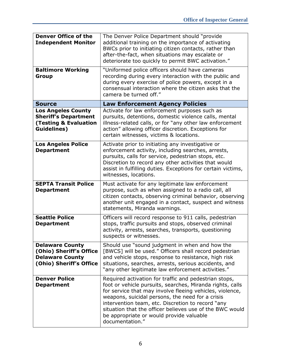| <b>Denver Office of the</b><br><b>Independent Monitor</b>                                                          | The Denver Police Department should "provide<br>additional training on the importance of activating<br>BWCs prior to initiating citizen contacts, rather than<br>after-the-fact, when situations may escalate or<br>deteriorate too quickly to permit BWC activation."                                                                                                                                             |
|--------------------------------------------------------------------------------------------------------------------|--------------------------------------------------------------------------------------------------------------------------------------------------------------------------------------------------------------------------------------------------------------------------------------------------------------------------------------------------------------------------------------------------------------------|
| <b>Baltimore Working</b><br><b>Group</b>                                                                           | "Uniformed police officers should have cameras<br>recording during every interaction with the public and<br>during every exercise of police powers, except in a<br>consensual interaction where the citizen asks that the<br>camera be turned off."                                                                                                                                                                |
| <b>Source</b>                                                                                                      | <b>Law Enforcement Agency Policies</b>                                                                                                                                                                                                                                                                                                                                                                             |
| <b>Los Angeles County</b><br><b>Sheriff's Department</b><br><b>(Testing &amp; Evaluation</b><br><b>Guidelines)</b> | Activate for law enforcement purposes such as<br>pursuits, detentions, domestic violence calls, mental<br>illness-related calls, or for "any other law enforcement<br>action" allowing officer discretion. Exceptions for<br>certain witnesses, victims & locations.                                                                                                                                               |
| <b>Los Angeles Police</b><br><b>Department</b>                                                                     | Activate prior to initiating any investigative or<br>enforcement activity, including searches, arrests,<br>pursuits, calls for service, pedestrian stops, etc.<br>Discretion to record any other activities that would<br>assist in fulfilling duties. Exceptions for certain victims,<br>witnesses, locations.                                                                                                    |
| <b>SEPTA Transit Police</b><br><b>Department</b>                                                                   | Must activate for any legitimate law enforcement<br>purpose, such as when assigned to a radio call, all<br>citizen contacts, observing criminal behavior, observing<br>another unit engaged in a contact, suspect and witness<br>statements, Miranda warnings.                                                                                                                                                     |
| <b>Seattle Police</b><br><b>Department</b>                                                                         | Officers will record response to 911 calls, pedestrian<br>stops, traffic pursuits and stops, observed criminal<br>activity, arrests, searches, transports, questioning<br>suspects or witnesses.                                                                                                                                                                                                                   |
| <b>Delaware County</b><br>(Ohio) Sheriff's Office<br><b>Delaware County</b><br>(Ohio) Sheriff's Office             | Should use "sound judgment in when and how the<br>[BWCS] will be used." Officers shall record pedestrian<br>and vehicle stops, response to resistance, high risk<br>situations, searches, arrests, serious accidents, and<br>"any other legitimate law enforcement activities."                                                                                                                                    |
| <b>Denver Police</b><br><b>Department</b>                                                                          | Required activation for traffic and pedestrian stops,<br>foot or vehicle pursuits, searches, Miranda rights, calls<br>for service that may involve fleeing vehicles, violence,<br>weapons, suicidal persons, the need for a crisis<br>intervention team, etc. Discretion to record "any<br>situation that the officer believes use of the BWC would<br>be appropriate or would provide valuable<br>documentation." |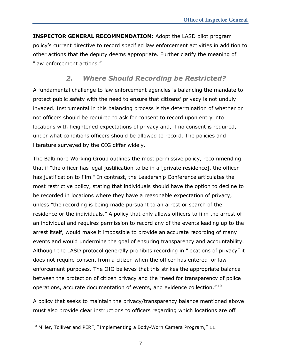**INSPECTOR GENERAL RECOMMENDATION**: Adopt the LASD pilot program policy's current directive to record specified law enforcement activities in addition to other actions that the deputy deems appropriate. Further clarify the meaning of "law enforcement actions."

### *2. Where Should Recording be Restricted?*

<span id="page-15-0"></span>A fundamental challenge to law enforcement agencies is balancing the mandate to protect public safety with the need to ensure that citizens' privacy is not unduly invaded. Instrumental in this balancing process is the determination of whether or not officers should be required to ask for consent to record upon entry into locations with heightened expectations of privacy and, if no consent is required, under what conditions officers should be allowed to record. The policies and literature surveyed by the OIG differ widely.

The Baltimore Working Group outlines the most permissive policy, recommending that if "the officer has legal justification to be in a [private residence], the officer has justification to film." In contrast, the Leadership Conference articulates the most restrictive policy, stating that individuals should have the option to decline to be recorded in locations where they have a reasonable expectation of privacy, unless "the recording is being made pursuant to an arrest or search of the residence or the individuals." A policy that only allows officers to film the arrest of an individual and requires permission to record any of the events leading up to the arrest itself, would make it impossible to provide an accurate recording of many events and would undermine the goal of ensuring transparency and accountability. Although the LASD protocol generally prohibits recording in "locations of privacy" it does not require consent from a citizen when the officer has entered for law enforcement purposes. The OIG believes that this strikes the appropriate balance between the protection of citizen privacy and the "need for transparency of police operations, accurate documentation of events, and evidence collection." <sup>10</sup>

A policy that seeks to maintain the privacy/transparency balance mentioned above must also provide clear instructions to officers regarding which locations are off

 $\overline{a}$  $10$  Miller, Tolliver and PERF, "Implementing a Body-Worn Camera Program," 11.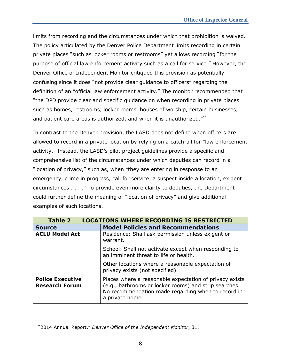limits from recording and the circumstances under which that prohibition is waived. The policy articulated by the Denver Police Department limits recording in certain private places "such as locker rooms or restrooms" yet allows recording "for the purpose of official law enforcement activity such as a call for service." However, the Denver Office of Independent Monitor critiqued this provision as potentially confusing since it does "not provide clear guidance to officers" regarding the definition of an "official law enforcement activity." The monitor recommended that "the DPD provide clear and specific guidance on when recording in private places such as homes, restrooms, locker rooms, houses of worship, certain businesses, and patient care areas is authorized, and when it is unauthorized."<sup>11</sup>

In contrast to the Denver provision, the LASD does not define when officers are allowed to record in a private location by relying on a catch-all for "law enforcement activity." Instead, the LASD's pilot project guidelines provide a specific and comprehensive list of the circumstances under which deputies can record in a "location of privacy," such as, when "they are entering in response to an emergency, crime in progress, call for service, a suspect inside a location, exigent circumstances . . . ." To provide even more clarity to deputies, the Department could further define the meaning of "location of privacy" and give additional examples of such locations.

| <b>Table 2</b><br><b>LOCATIONS WHERE RECORDING IS RESTRICTED</b> |                                                                                                                                                                                           |
|------------------------------------------------------------------|-------------------------------------------------------------------------------------------------------------------------------------------------------------------------------------------|
| <b>Source</b>                                                    | <b>Model Policies and Recommendations</b>                                                                                                                                                 |
| <b>ACLU Model Act</b>                                            | Residence: Shall ask permission unless exigent or<br>warrant.                                                                                                                             |
|                                                                  | School: Shall not activate except when responding to<br>an imminent threat to life or health.                                                                                             |
|                                                                  | Other locations where a reasonable expectation of<br>privacy exists (not specified).                                                                                                      |
| <b>Police Executive</b><br><b>Research Forum</b>                 | Places where a reasonable expectation of privacy exists<br>(e.g., bathrooms or locker rooms) and strip searches.<br>No recommendation made regarding when to record in<br>a private home. |

 $\overline{a}$ <sup>11</sup> "2014 Annual Report," *Denver Office of the Independent Monitor*, 31.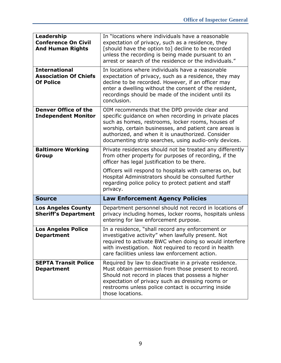| Leadership<br><b>Conference On Civil</b><br><b>And Human Rights</b><br><b>International</b>                                                                                                                                                                                                                                                                                                      | In "locations where individuals have a reasonable<br>expectation of privacy, such as a residence, they<br>[should have the option to] decline to be recorded<br>unless the recording is being made pursuant to an<br>arrest or search of the residence or the individuals."<br>In locations where individuals have a reasonable |
|--------------------------------------------------------------------------------------------------------------------------------------------------------------------------------------------------------------------------------------------------------------------------------------------------------------------------------------------------------------------------------------------------|---------------------------------------------------------------------------------------------------------------------------------------------------------------------------------------------------------------------------------------------------------------------------------------------------------------------------------|
| <b>Association Of Chiefs</b><br><b>Of Police</b>                                                                                                                                                                                                                                                                                                                                                 | expectation of privacy, such as a residence, they may<br>decline to be recorded. However, if an officer may<br>enter a dwelling without the consent of the resident,<br>recordings should be made of the incident until its<br>conclusion.                                                                                      |
| <b>Denver Office of the</b><br>OIM recommends that the DPD provide clear and<br><b>Independent Monitor</b><br>specific guidance on when recording in private places<br>such as homes, restrooms, locker rooms, houses of<br>worship, certain businesses, and patient care areas is<br>authorized, and when it is unauthorized. Consider<br>documenting strip searches, using audio-only devices. |                                                                                                                                                                                                                                                                                                                                 |
| <b>Baltimore Working</b><br>Group                                                                                                                                                                                                                                                                                                                                                                | Private residences should not be treated any differently<br>from other property for purposes of recording, if the<br>officer has legal justification to be there.                                                                                                                                                               |
|                                                                                                                                                                                                                                                                                                                                                                                                  | Officers will respond to hospitals with cameras on, but<br>Hospital Administrators should be consulted further<br>regarding police policy to protect patient and staff<br>privacy.                                                                                                                                              |
| <b>Source</b>                                                                                                                                                                                                                                                                                                                                                                                    | <b>Law Enforcement Agency Policies</b>                                                                                                                                                                                                                                                                                          |
| <b>Los Angeles County</b><br><b>Sheriff's Department</b>                                                                                                                                                                                                                                                                                                                                         | Department personnel should not record in locations of<br>privacy including homes, locker rooms, hospitals unless<br>entering for law enforcement purpose.                                                                                                                                                                      |
| <b>Los Angeles Police</b><br><b>Department</b>                                                                                                                                                                                                                                                                                                                                                   | In a residence, "shall record any enforcement or<br>investigative activity" when lawfully present. Not<br>required to activate BWC when doing so would interfere<br>with investigation. Not required to record in health<br>care facilities unless law enforcement action.                                                      |
| <b>SEPTA Transit Police</b><br><b>Department</b>                                                                                                                                                                                                                                                                                                                                                 | Required by law to deactivate in a private residence.<br>Must obtain permission from those present to record.<br>Should not record in places that possess a higher<br>expectation of privacy such as dressing rooms or<br>restrooms unless police contact is occurring inside                                                   |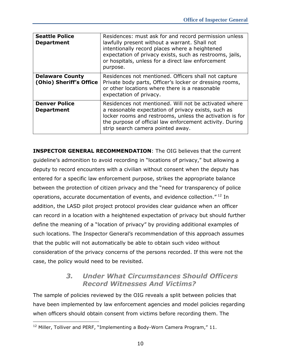| <b>Seattle Police</b><br><b>Department</b>        | Residences: must ask for and record permission unless<br>lawfully present without a warrant. Shall not<br>intentionally record places where a heightened<br>expectation of privacy exists, such as restrooms, jails,<br>or hospitals, unless for a direct law enforcement<br>purpose. |
|---------------------------------------------------|---------------------------------------------------------------------------------------------------------------------------------------------------------------------------------------------------------------------------------------------------------------------------------------|
| <b>Delaware County</b><br>(Ohio) Sheriff's Office | Residences not mentioned. Officers shall not capture<br>Private body parts, Officer's locker or dressing rooms,<br>or other locations where there is a reasonable<br>expectation of privacy.                                                                                          |
| <b>Denver Police</b><br><b>Department</b>         | Residences not mentioned. Will not be activated where<br>a reasonable expectation of privacy exists, such as<br>locker rooms and restrooms, unless the activation is for<br>the purpose of official law enforcement activity. During<br>strip search camera pointed away.             |

**INSPECTOR GENERAL RECOMMENDATION**: The OIG believes that the current guideline's admonition to avoid recording in "locations of privacy," but allowing a deputy to record encounters with a civilian without consent when the deputy has entered for a specific law enforcement purpose, strikes the appropriate balance between the protection of citizen privacy and the "need for transparency of police operations, accurate documentation of events, and evidence collection." <sup>12</sup> In addition, the LASD pilot project protocol provides clear guidance when an officer can record in a location with a heightened expectation of privacy but should further define the meaning of a "location of privacy" by providing additional examples of such locations. The Inspector General's recommendation of this approach assumes that the public will not automatically be able to obtain such video without consideration of the privacy concerns of the persons recorded. If this were not the case, the policy would need to be revisited.

### *3. Under What Circumstances Should Officers Record Witnesses And Victims?*

<span id="page-18-0"></span>The sample of policies reviewed by the OIG reveals a split between policies that have been implemented by law enforcement agencies and model policies regarding when officers should obtain consent from victims before recording them. The

 $\overline{a}$  $12$  Miller, Tolliver and PERF, "Implementing a Body-Worn Camera Program," 11.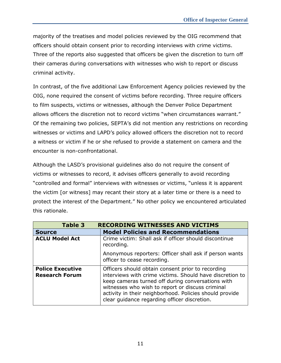majority of the treatises and model policies reviewed by the OIG recommend that officers should obtain consent prior to recording interviews with crime victims. Three of the reports also suggested that officers be given the discretion to turn off their cameras during conversations with witnesses who wish to report or discuss criminal activity.

In contrast, of the five additional Law Enforcement Agency policies reviewed by the OIG, none required the consent of victims before recording. Three require officers to film suspects, victims or witnesses, although the Denver Police Department allows officers the discretion not to record victims "when circumstances warrant." Of the remaining two policies, SEPTA's did not mention any restrictions on recording witnesses or victims and LAPD's policy allowed officers the discretion not to record a witness or victim if he or she refused to provide a statement on camera and the encounter is non-confrontational.

Although the LASD's provisional guidelines also do not require the consent of victims or witnesses to record, it advises officers generally to avoid recording "controlled and formal" interviews with witnesses or victims, "unless it is apparent the victim [or witness] may recant their story at a later time or there is a need to protect the interest of the Department." No other policy we encountered articulated this rationale.

| Table 3                                          | <b>RECORDING WITNESSES AND VICTIMS</b>                                                                                                                                                                                                                                                                                            |
|--------------------------------------------------|-----------------------------------------------------------------------------------------------------------------------------------------------------------------------------------------------------------------------------------------------------------------------------------------------------------------------------------|
| <b>Source</b>                                    | <b>Model Policies and Recommendations</b>                                                                                                                                                                                                                                                                                         |
| <b>ACLU Model Act</b>                            | Crime victim: Shall ask if officer should discontinue<br>recording.                                                                                                                                                                                                                                                               |
|                                                  | Anonymous reporters: Officer shall ask if person wants<br>officer to cease recording.                                                                                                                                                                                                                                             |
| <b>Police Executive</b><br><b>Research Forum</b> | Officers should obtain consent prior to recording<br>interviews with crime victims. Should have discretion to<br>keep cameras turned off during conversations with<br>witnesses who wish to report or discuss criminal<br>activity in their neighborhood. Policies should provide<br>clear guidance regarding officer discretion. |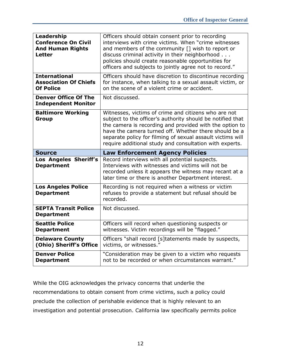| Leadership<br><b>Conference On Civil</b><br><b>And Human Rights</b><br><b>Letter</b> | Officers should obtain consent prior to recording<br>interviews with crime victims. When "crime witnesses<br>and members of the community [] wish to report or<br>discuss criminal activity in their neighborhood<br>policies should create reasonable opportunities for<br>officers and subjects to jointly agree not to record."                              |
|--------------------------------------------------------------------------------------|-----------------------------------------------------------------------------------------------------------------------------------------------------------------------------------------------------------------------------------------------------------------------------------------------------------------------------------------------------------------|
| <b>International</b><br><b>Association Of Chiefs</b><br><b>Of Police</b>             | Officers should have discretion to discontinue recording<br>for instance, when talking to a sexual assault victim, or<br>on the scene of a violent crime or accident.                                                                                                                                                                                           |
| <b>Denver Office Of The</b><br><b>Independent Monitor</b>                            | Not discussed.                                                                                                                                                                                                                                                                                                                                                  |
| <b>Baltimore Working</b><br>Group                                                    | Witnesses, victims of crime and citizens who are not<br>subject to the officer's authority should be notified that<br>the camera is recording and provided with the option to<br>have the camera turned off. Whether there should be a<br>separate policy for filming of sexual assault victims will<br>require additional study and consultation with experts. |
|                                                                                      |                                                                                                                                                                                                                                                                                                                                                                 |
| <b>Source</b>                                                                        | <b>Law Enforcement Agency Policies</b>                                                                                                                                                                                                                                                                                                                          |
| Los Angeles Sheriff's<br><b>Department</b>                                           | Record interviews with all potential suspects.<br>Interviews with witnesses and victims will not be<br>recorded unless it appears the witness may recant at a<br>later time or there is another Department interest.                                                                                                                                            |
| <b>Los Angeles Police</b><br><b>Department</b>                                       | Recording is not required when a witness or victim<br>refuses to provide a statement but refusal should be<br>recorded.                                                                                                                                                                                                                                         |
| <b>SEPTA Transit Police</b><br><b>Department</b>                                     | Not discussed.                                                                                                                                                                                                                                                                                                                                                  |
| <b>Seattle Police</b><br><b>Department</b>                                           | Officers will record when questioning suspects or<br>witnesses. Victim recordings will be "flagged."                                                                                                                                                                                                                                                            |
| <b>Delaware County</b><br>(Ohio) Sheriff's Office                                    | Officers "shall record [s]tatements made by suspects,<br>victims, or witnesses."                                                                                                                                                                                                                                                                                |

While the OIG acknowledges the privacy concerns that underlie the recommendations to obtain consent from crime victims, such a policy could preclude the collection of perishable evidence that is highly relevant to an investigation and potential prosecution. California law specifically permits police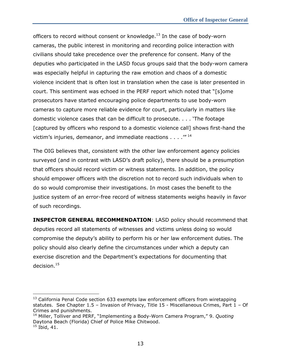officers to record without consent or knowledge.<sup>13</sup> In the case of body-worn cameras, the public interest in monitoring and recording police interaction with civilians should take precedence over the preference for consent. Many of the deputies who participated in the LASD focus groups said that the body-worn camera was especially helpful in capturing the raw emotion and chaos of a domestic violence incident that is often lost in translation when the case is later presented in court. This sentiment was echoed in the PERF report which noted that "[s]ome prosecutors have started encouraging police departments to use body-worn cameras to capture more reliable evidence for court, particularly in matters like domestic violence cases that can be difficult to prosecute. . . . 'The footage [captured by officers who respond to a domestic violence call] shows first-hand the victim's injuries, demeanor, and immediate reactions  $\dots$ ."<sup>14</sup>

The OIG believes that, consistent with the other law enforcement agency policies surveyed (and in contrast with LASD's draft policy), there should be a presumption that officers should record victim or witness statements. In addition, the policy should empower officers with the discretion not to record such individuals when to do so would compromise their investigations. In most cases the benefit to the justice system of an error-free record of witness statements weighs heavily in favor of such recordings.

**INSPECTOR GENERAL RECOMMENDATION**: LASD policy should recommend that deputies record all statements of witnesses and victims unless doing so would compromise the deputy's ability to perform his or her law enforcement duties. The policy should also clearly define the circumstances under which a deputy can exercise discretion and the Department's expectations for documenting that decision.<sup>15</sup>

 $\overline{a}$ 

 $13$  California Penal Code section 633 exempts law enforcement officers from wiretapping statutes. See Chapter 1.5 – Invasion of Privacy, Title 15 - Miscellaneous Crimes, Part 1 – Of Crimes and punishments.

<sup>14</sup> Miller, Tolliver and PERF, "Implementing a Body-Worn Camera Program," 9. *Quoting* Daytona Beach (Florida) Chief of Police Mike Chitwood.  $15$  Ibid, 41.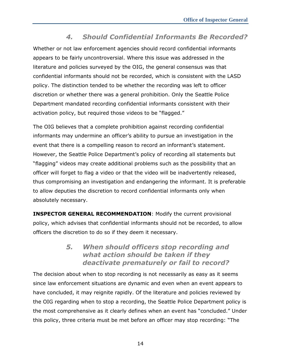## *4. Should Confidential Informants Be Recorded?*

<span id="page-22-0"></span>Whether or not law enforcement agencies should record confidential informants appears to be fairly uncontroversial. Where this issue was addressed in the literature and policies surveyed by the OIG, the general consensus was that confidential informants should not be recorded, which is consistent with the LASD policy. The distinction tended to be whether the recording was left to officer discretion or whether there was a general prohibition. Only the Seattle Police Department mandated recording confidential informants consistent with their activation policy, but required those videos to be "flagged."

The OIG believes that a complete prohibition against recording confidential informants may undermine an officer's ability to pursue an investigation in the event that there is a compelling reason to record an informant's statement. However, the Seattle Police Department's policy of recording all statements but "flagging" videos may create additional problems such as the possibility that an officer will forget to flag a video or that the video will be inadvertently released, thus compromising an investigation and endangering the informant. It is preferable to allow deputies the discretion to record confidential informants only when absolutely necessary.

**INSPECTOR GENERAL RECOMMENDATION**: Modify the current provisional policy, which advises that confidential informants should not be recorded, to allow officers the discretion to do so if they deem it necessary.

### *5. When should officers stop recording and what action should be taken if they deactivate prematurely or fail to record?*

<span id="page-22-1"></span>The decision about when to stop recording is not necessarily as easy as it seems since law enforcement situations are dynamic and even when an event appears to have concluded, it may reignite rapidly. Of the literature and policies reviewed by the OIG regarding when to stop a recording, the Seattle Police Department policy is the most comprehensive as it clearly defines when an event has "concluded." Under this policy, three criteria must be met before an officer may stop recording: "The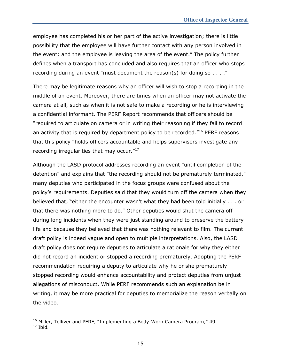employee has completed his or her part of the active investigation; there is little possibility that the employee will have further contact with any person involved in the event; and the employee is leaving the area of the event." The policy further defines when a transport has concluded and also requires that an officer who stops recording during an event "must document the reason(s) for doing so . . . ."

There may be legitimate reasons why an officer will wish to stop a recording in the middle of an event. Moreover, there are times when an officer may not activate the camera at all, such as when it is not safe to make a recording or he is interviewing a confidential informant. The PERF Report recommends that officers should be "required to articulate on camera or in writing their reasoning if they fail to record an activity that is required by department policy to be recorded."<sup>16</sup> PERF reasons that this policy "holds officers accountable and helps supervisors investigate any recording irregularities that may occur."<sup>17</sup>

Although the LASD protocol addresses recording an event "until completion of the detention" and explains that "the recording should not be prematurely terminated," many deputies who participated in the focus groups were confused about the policy's requirements. Deputies said that they would turn off the camera when they believed that, "either the encounter wasn't what they had been told initially . . . or that there was nothing more to do." Other deputies would shut the camera off during long incidents when they were just standing around to preserve the battery life and because they believed that there was nothing relevant to film. The current draft policy is indeed vague and open to multiple interpretations. Also, the LASD draft policy does not require deputies to articulate a rationale for why they either did not record an incident or stopped a recording prematurely. Adopting the PERF recommendation requiring a deputy to articulate why he or she prematurely stopped recording would enhance accountability and protect deputies from unjust allegations of misconduct. While PERF recommends such an explanation be in writing, it may be more practical for deputies to memorialize the reason verbally on the video.

j

<sup>&</sup>lt;sup>16</sup> Miller, Tolliver and PERF, "Implementing a Body-Worn Camera Program," 49.

<sup>17</sup> Ibid*.*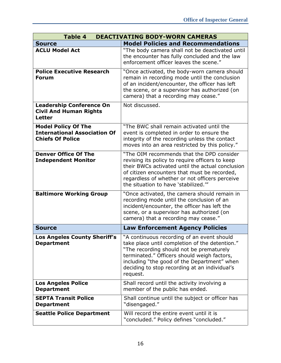| <b>Table 4</b><br><b>DEACTIVATING BODY-WORN CAMERAS</b>                                      |                                                                                                                                                                                                                                                                                                     |  |
|----------------------------------------------------------------------------------------------|-----------------------------------------------------------------------------------------------------------------------------------------------------------------------------------------------------------------------------------------------------------------------------------------------------|--|
| <b>Source</b>                                                                                | <b>Model Policies and Recommendations</b>                                                                                                                                                                                                                                                           |  |
| <b>ACLU Model Act</b>                                                                        | "The body camera shall not be deactivated until<br>the encounter has fully concluded and the law<br>enforcement officer leaves the scene."                                                                                                                                                          |  |
| <b>Police Executive Research</b><br><b>Forum</b>                                             | "Once activated, the body-worn camera should<br>remain in recording mode until the conclusion<br>of an incident/encounter, the officer has left<br>the scene, or a supervisor has authorized (on<br>camera) that a recording may cease."                                                            |  |
| <b>Leadership Conference On</b><br><b>Civil And Human Rights</b><br><b>Letter</b>            | Not discussed.                                                                                                                                                                                                                                                                                      |  |
| <b>Model Policy Of The</b><br><b>International Association Of</b><br><b>Chiefs Of Police</b> | "The BWC shall remain activated until the<br>event is completed in order to ensure the<br>integrity of the recording unless the contact<br>moves into an area restricted by this policy."                                                                                                           |  |
| <b>Denver Office Of The</b><br><b>Independent Monitor</b>                                    | "The OIM recommends that the DPD consider<br>revising its policy to require officers to keep<br>their BWCs activated until the actual conclusion<br>of citizen encounters that must be recorded,<br>regardless of whether or not officers perceive<br>the situation to have 'stabilized.""          |  |
| <b>Baltimore Working Group</b>                                                               | "Once activated, the camera should remain in<br>recording mode until the conclusion of an<br>incident/encounter, the officer has left the<br>scene, or a supervisor has authorized (on<br>camera) that a recording may cease."                                                                      |  |
| <b>Source</b>                                                                                | <b>Law Enforcement Agency Policies</b>                                                                                                                                                                                                                                                              |  |
| Los Angeles County Sheriff's<br><b>Department</b>                                            | "A continuous recording of an event should<br>take place until completion of the detention."<br>"The recording should not be prematurely<br>terminated." Officers should weigh factors,<br>including "the good of the Department" when<br>deciding to stop recording at an individual's<br>request. |  |
| <b>Los Angeles Police</b><br><b>Department</b>                                               | Shall record until the activity involving a<br>member of the public has ended.                                                                                                                                                                                                                      |  |
| <b>SEPTA Transit Police</b><br><b>Department</b>                                             | Shall continue until the subject or officer has<br>"disengaged."                                                                                                                                                                                                                                    |  |
| <b>Seattle Police Department</b>                                                             | Will record the entire event until it is<br>"concluded." Policy defines "concluded."                                                                                                                                                                                                                |  |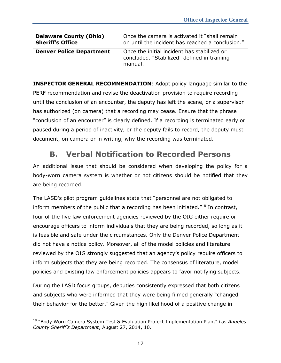| <b>Delaware County (Ohio)</b>   | Once the camera is activated it "shall remain                                                         |
|---------------------------------|-------------------------------------------------------------------------------------------------------|
| <b>Sheriff's Office</b>         | on until the incident has reached a conclusion."                                                      |
| <b>Denver Police Department</b> | Once the initial incident has stabilized or<br>concluded. "Stabilized" defined in training<br>manual. |

**INSPECTOR GENERAL RECOMMENDATION**: Adopt policy language similar to the PERF recommendation and revise the deactivation provision to require recording until the conclusion of an encounter, the deputy has left the scene, or a supervisor has authorized (on camera) that a recording may cease. Ensure that the phrase "conclusion of an encounter" is clearly defined. If a recording is terminated early or paused during a period of inactivity, or the deputy fails to record, the deputy must document, on camera or in writing, why the recording was terminated.

## **B. Verbal Notification to Recorded Persons**

<span id="page-25-0"></span>An additional issue that should be considered when developing the policy for a body-worn camera system is whether or not citizens should be notified that they are being recorded.

The LASD's pilot program guidelines state that "personnel are not obligated to inform members of the public that a recording has been initiated. $18$ <sup>18</sup> In contrast, four of the five law enforcement agencies reviewed by the OIG either require or encourage officers to inform individuals that they are being recorded, so long as it is feasible and safe under the circumstances. Only the Denver Police Department did not have a notice policy. Moreover, all of the model policies and literature reviewed by the OIG strongly suggested that an agency's policy require officers to inform subjects that they are being recorded. The consensus of literature, model policies and existing law enforcement policies appears to favor notifying subjects.

During the LASD focus groups, deputies consistently expressed that both citizens and subjects who were informed that they were being filmed generally "changed their behavior for the better." Given the high likelihood of a positive change in

j

<sup>18</sup> "Body Worn Camera System Test & Evaluation Project Implementation Plan," *Los Angeles County Sheriff's Department*, August 27, 2014, 10.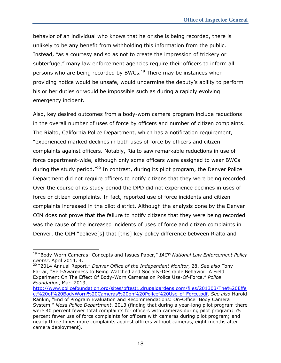behavior of an individual who knows that he or she is being recorded, there is unlikely to be any benefit from withholding this information from the public. Instead, "as a courtesy and so as not to create the impression of trickery or subterfuge," many law enforcement agencies require their officers to inform all persons who are being recorded by BWCs. $19$  There may be instances when providing notice would be unsafe, would undermine the deputy's ability to perform his or her duties or would be impossible such as during a rapidly evolving emergency incident.

Also, key desired outcomes from a body-worn camera program include reductions in the overall number of uses of force by officers and number of citizen complaints. The Rialto, California Police Department, which has a notification requirement, "experienced marked declines in both uses of force by officers and citizen complaints against officers. Notably, Rialto saw remarkable reductions in use of force department-wide, although only some officers were assigned to wear BWCs during the study period.<sup>"20</sup> In contrast, during its pilot program, the Denver Police Department did not require officers to notify citizens that they were being recorded. Over the course of its study period the DPD did not experience declines in uses of force or citizen complaints. In fact, reported use of force incidents and citizen complaints increased in the pilot district. Although the analysis done by the Denver OIM does not prove that the failure to notify citizens that they were being recorded was the cause of the increased incidents of uses of force and citizen complaints in Denver, the OIM "believe[s] that [this] key policy difference between Rialto and

 $\overline{a}$ 

<sup>19</sup> "Body-Worn Cameras: Concepts and Issues Paper," *IACP National Law Enforcement Policy Center*, April 2014, 4.

<sup>20</sup> "2014 Annual Report," *Denver Office of the Independent Monitor*, 28. *See also* Tony Farrar, "Self-Awareness to Being Watched and Socially-Desirable Behavior: A Field Experiment On The Effect Of Body-Worn Cameras on Police Use-Of-Force," *Police Foundation*, Mar. 2013,

[http://www.policefoundation.org/sites/pftest1.drupalgardens.com/files/201303/The%20Effe](http://www.policefoundation.org/sites/pftest1.drupalgardens.com/files/201303/The%20Effect%20of%20BodyWorn%20Cameras%20on%20Police%20Use-of-Force.pdf) [ct%20of%20BodyWorn%20Cameras%20on%20Police%20Use-of-Force.pdf.](http://www.policefoundation.org/sites/pftest1.drupalgardens.com/files/201303/The%20Effect%20of%20BodyWorn%20Cameras%20on%20Police%20Use-of-Force.pdf) *See also* Harold Rankin, "End of Program Evaluation and Recommendations: On-Officer Body Camera System," *Mesa Police Department*, 2013 (finding that during a year-long pilot program there were 40 percent fewer total complaints for officers with cameras during pilot program; 75 percent fewer use of force complaints for officers with cameras during pilot program; and nearly three times more complaints against officers without cameras, eight months after camera deployment).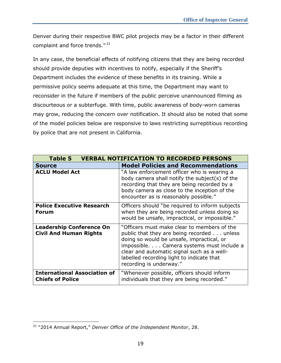Denver during their respective BWC pilot projects may be a factor in their different complaint and force trends."<sup>21</sup>

In any case, the beneficial effects of notifying citizens that they are being recorded should provide deputies with incentives to notify, especially if the Sheriff's Department includes the evidence of these benefits in its training. While a permissive policy seems adequate at this time, the Department may want to reconsider in the future if members of the public perceive unannounced filming as discourteous or a subterfuge. With time, public awareness of body-worn cameras may grow, reducing the concern over notification. It should also be noted that some of the model policies below are responsive to laws restricting surreptitious recording by police that are not present in California.

| <b>Table 5</b>                                                   | <b>VERBAL NOTIFICATION TO RECORDED PERSONS</b>                                                                                                                                                                                                                                                            |
|------------------------------------------------------------------|-----------------------------------------------------------------------------------------------------------------------------------------------------------------------------------------------------------------------------------------------------------------------------------------------------------|
| <b>Source</b>                                                    | <b>Model Policies and Recommendations</b>                                                                                                                                                                                                                                                                 |
| <b>ACLU Model Act</b>                                            | "A law enforcement officer who is wearing a<br>body camera shall notify the subject(s) of the<br>recording that they are being recorded by a<br>body camera as close to the inception of the<br>encounter as is reasonably possible."                                                                     |
| <b>Police Executive Research</b><br><b>Forum</b>                 | Officers should "be required to inform subjects<br>when they are being recorded unless doing so<br>would be unsafe, impractical, or impossible."                                                                                                                                                          |
| <b>Leadership Conference On</b><br><b>Civil And Human Rights</b> | "Officers must make clear to members of the<br>public that they are being recorded unless<br>doing so would be unsafe, impractical, or<br>impossible. Camera systems must include a<br>clear and automatic signal such as a well-<br>labelled recording light to indicate that<br>recording is underway." |
| <b>International Association of</b><br><b>Chiefs of Police</b>   | "Whenever possible, officers should inform<br>individuals that they are being recorded."                                                                                                                                                                                                                  |

 $\overline{a}$ <sup>21</sup> "2014 Annual Report," *Denver Office of the Independent Monitor*, 28.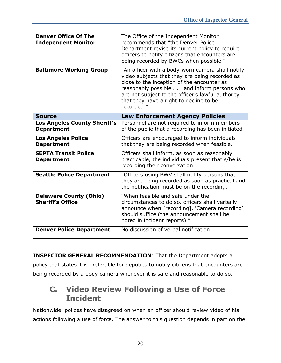| <b>Denver Office Of The</b><br><b>Independent Monitor</b> | The Office of the Independent Monitor<br>recommends that "the Denver Police<br>Department revise its current policy to require<br>officers to notify citizens that encounters are<br>being recorded by BWCs when possible."                                                                                  |
|-----------------------------------------------------------|--------------------------------------------------------------------------------------------------------------------------------------------------------------------------------------------------------------------------------------------------------------------------------------------------------------|
| <b>Baltimore Working Group</b>                            | "An officer with a body-worn camera shall notify<br>video subjects that they are being recorded as<br>close to the inception of the encounter as<br>reasonably possible and inform persons who<br>are not subject to the officer's lawful authority<br>that they have a right to decline to be<br>recorded." |
| <b>Source</b>                                             | <b>Law Enforcement Agency Policies</b>                                                                                                                                                                                                                                                                       |
| <b>Los Angeles County Sheriff's</b><br><b>Department</b>  | Personnel are not required to inform members<br>of the public that a recording has been initiated.                                                                                                                                                                                                           |
| <b>Los Angeles Police</b><br><b>Department</b>            | Officers are encouraged to inform individuals<br>that they are being recorded when feasible.                                                                                                                                                                                                                 |
| <b>SEPTA Transit Police</b><br><b>Department</b>          | Officers shall inform, as soon as reasonably<br>practicable, the individuals present that s/he is                                                                                                                                                                                                            |
|                                                           | recording their conversation                                                                                                                                                                                                                                                                                 |
| <b>Seattle Police Department</b>                          | "Officers using BWV shall notify persons that<br>they are being recorded as soon as practical and<br>the notification must be on the recording."                                                                                                                                                             |
| <b>Delaware County (Ohio)</b><br><b>Sheriff's Office</b>  | "When feasible and safe under the<br>circumstances to do so, officers shall verbally<br>announce when [recording]. 'Camera recording'<br>should suffice (the announcement shall be<br>noted in incident reports)."                                                                                           |

**INSPECTOR GENERAL RECOMMENDATION**: That the Department adopts a policy that states it is preferable for deputies to notify citizens that encounters are being recorded by a body camera whenever it is safe and reasonable to do so.

## <span id="page-28-0"></span>**C. Video Review Following a Use of Force Incident**

Nationwide, polices have disagreed on when an officer should review video of his actions following a use of force. The answer to this question depends in part on the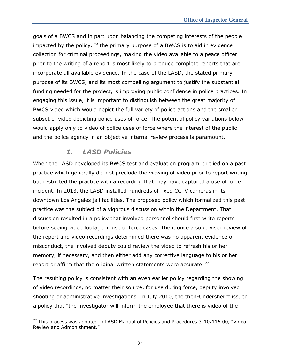goals of a BWCS and in part upon balancing the competing interests of the people impacted by the policy. If the primary purpose of a BWCS is to aid in evidence collection for criminal proceedings, making the video available to a peace officer prior to the writing of a report is most likely to produce complete reports that are incorporate all available evidence. In the case of the LASD, the stated primary purpose of its BWCS, and its most compelling argument to justify the substantial funding needed for the project, is improving public confidence in police practices. In engaging this issue, it is important to distinguish between the great majority of BWCS video which would depict the full variety of police actions and the smaller subset of video depicting police uses of force. The potential policy variations below would apply only to video of police uses of force where the interest of the public and the police agency in an objective internal review process is paramount.

### *1. LASD Policies*

j

<span id="page-29-0"></span>When the LASD developed its BWCS test and evaluation program it relied on a past practice which generally did not preclude the viewing of video prior to report writing but restricted the practice with a recording that may have captured a use of force incident. In 2013, the LASD installed hundreds of fixed CCTV cameras in its downtown Los Angeles jail facilities. The proposed policy which formalized this past practice was the subject of a vigorous discussion within the Department. That discussion resulted in a policy that involved personnel should first write reports before seeing video footage in use of force cases. Then, once a supervisor review of the report and video recordings determined there was no apparent evidence of misconduct, the involved deputy could review the video to refresh his or her memory, if necessary, and then either add any corrective language to his or her report or affirm that the original written statements were accurate. <sup>22</sup>

The resulting policy is consistent with an even earlier policy regarding the showing of video recordings, no matter their source, for use during force, deputy involved shooting or administrative investigations. In July 2010, the then-Undersheriff issued a policy that "the investigator will inform the employee that there is video of the

 $22$  This process was adopted in LASD Manual of Policies and Procedures 3-10/115.00, "Video Review and Admonishment."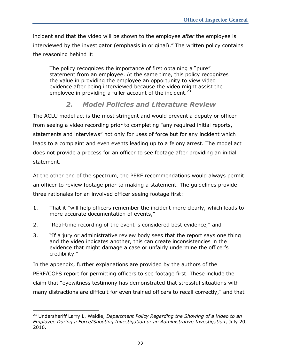incident and that the video will be shown to the employee *after* the employee is interviewed by the investigator (emphasis in original)." The written policy contains the reasoning behind it:

The policy recognizes the importance of first obtaining a "pure" statement from an employee. At the same time, this policy recognizes the value in providing the employee an opportunity to view video evidence after being interviewed because the video might assist the employee in providing a fuller account of the incident.<sup>23</sup>

## *2. Model Policies and Literature Review*

<span id="page-30-0"></span>The ACLU model act is the most stringent and would prevent a deputy or officer from seeing a video recording prior to completing "any required initial reports, statements and interviews" not only for uses of force but for any incident which leads to a complaint and even events leading up to a felony arrest. The model act does not provide a process for an officer to see footage after providing an initial statement.

At the other end of the spectrum, the PERF recommendations would always permit an officer to review footage prior to making a statement. The guidelines provide three rationales for an involved officer seeing footage first:

- 1. That it "will help officers remember the incident more clearly, which leads to more accurate documentation of events,"
- 2. "Real-time recording of the event is considered best evidence," and
- 3. "If a jury or administrative review body sees that the report says one thing and the video indicates another, this can create inconsistencies in the evidence that might damage a case or unfairly undermine the officer's credibility."

In the appendix, further explanations are provided by the authors of the PERF/COPS report for permitting officers to see footage first. These include the claim that "eyewitness testimony has demonstrated that stressful situations with many distractions are difficult for even trained officers to recall correctly," and that

<sup>23</sup> Undersheriff Larry L. Waldie, *Department Policy Regarding the Showing of a Video to an Employee During a Force/Shooting Investigation or an Administrative Investigation*, July 20, 2010.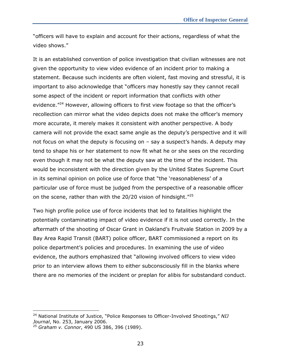"officers will have to explain and account for their actions, regardless of what the video shows."

It is an established convention of police investigation that civilian witnesses are not given the opportunity to view video evidence of an incident prior to making a statement. Because such incidents are often violent, fast moving and stressful, it is important to also acknowledge that "officers may honestly say they cannot recall some aspect of the incident or report information that conflicts with other evidence.<sup>"24</sup> However, allowing officers to first view footage so that the officer's recollection can mirror what the video depicts does not make the officer's memory more accurate, it merely makes it consistent with another perspective. A body camera will not provide the exact same angle as the deputy's perspective and it will not focus on what the deputy is focusing on – say a suspect's hands. A deputy may tend to shape his or her statement to now fit what he or she sees on the recording even though it may not be what the deputy saw at the time of the incident. This would be inconsistent with the direction given by the United States Supreme Court in its seminal opinion on police use of force that "the 'reasonableness' of a particular use of force must be judged from the perspective of a reasonable officer on the scene, rather than with the 20/20 vision of hindsight."<sup>25</sup>

Two high profile police use of force incidents that led to fatalities highlight the potentially contaminating impact of video evidence if it is not used correctly. In the aftermath of the shooting of Oscar Grant in Oakland's Fruitvale Station in 2009 by a Bay Area Rapid Transit (BART) police officer, BART commissioned a report on its police department's policies and procedures. In examining the use of video evidence, the authors emphasized that "allowing involved officers to view video prior to an interview allows them to either subconsciously fill in the blanks where there are no memories of the incident or preplan for alibis for substandard conduct.

<sup>24</sup> National Institute of Justice, "Police Responses to Officer-Involved Shootings," *NIJ Journal*, No. 253, January 2006.

<sup>25</sup> *Graham v. Connor*, 490 US 386, 396 (1989).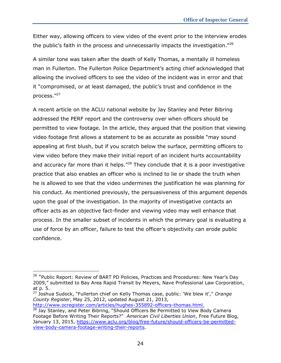Either way, allowing officers to view video of the event prior to the interview erodes the public's faith in the process and unnecessarily impacts the investigation."<sup>26</sup>

A similar tone was taken after the death of Kelly Thomas, a mentally ill homeless man in Fullerton. The Fullerton Police Department's acting chief acknowledged that allowing the involved officers to see the video of the incident was in error and that it "compromised, or at least damaged, the public's trust and confidence in the process."<sup>27</sup>

A recent article on the ACLU national website by Jay Stanley and Peter Bibring addressed the PERF report and the controversy over when officers should be permitted to view footage. In the article, they argued that the position that viewing video footage first allows a statement to be as accurate as possible "may sound appealing at first blush, but if you scratch below the surface, permitting officers to view video before they make their initial report of an incident hurts accountability and accuracy far more than it helps.<sup> $n28$ </sup> They conclude that it is a poor investigative practice that also enables an officer who is inclined to lie or shade the truth when he is allowed to see that the video undermines the justification he was planning for his conduct. As mentioned previously, the persuasiveness of this argument depends upon the goal of the investigation. In the majority of investigative contacts an officer acts as an objective fact-finder and viewing video may well enhance that process. In the smaller subset of incidents in which the primary goal is evaluating a use of force by an officer, failure to test the officer's objectivity can erode public confidence.

[http://www.ocregister.com/articles/hughes-355892-officers-thomas.html.](http://www.ocregister.com/articles/hughes-355892-officers-thomas.html)

<sup>&</sup>lt;sup>26</sup> "Public Report: Review of BART PD Policies, Practices and Procedures: New Year's Day 2009," submitted to Bay Area Rapid Transit by Meyers, Nave Professional Law Corporation, at p. 5.

<sup>27</sup> Joshua Sudock, "Fullerton chief on Kelly Thomas case, public: 'We blew it'," *Orange County Register*, May 25, 2012, updated August 21, 2013,

 $28$  Jay Stanley, and Peter Bibring, "Should Officers Be Permitted to View Body Camera Footage Before Writing Their Reports?" *American Civil Liberties Union*, Free Future Blog, January 13, 2015, [https://www.aclu.org/blog/free-future/should-officers-be-permitted](https://www.aclu.org/blog/free-future/should-officers-be-permitted-view-body-camera-footage-writing-their-reports)[view-body-camera-footage-writing-their-reports.](https://www.aclu.org/blog/free-future/should-officers-be-permitted-view-body-camera-footage-writing-their-reports)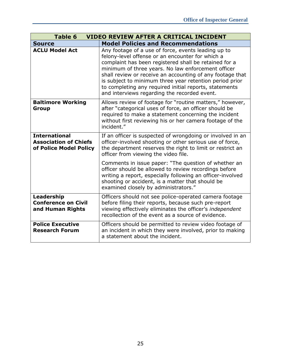| <b>Table 6</b>                                                                 | <b>VIDEO REVIEW AFTER A CRITICAL INCIDENT</b>                                                                                                                                                                                                                                                                                                                                                                                                            |
|--------------------------------------------------------------------------------|----------------------------------------------------------------------------------------------------------------------------------------------------------------------------------------------------------------------------------------------------------------------------------------------------------------------------------------------------------------------------------------------------------------------------------------------------------|
| <b>Source</b>                                                                  | <b>Model Policies and Recommendations</b>                                                                                                                                                                                                                                                                                                                                                                                                                |
| <b>ACLU Model Act</b>                                                          | Any footage of a use of force, events leading up to<br>felony-level offense or an encounter for which a<br>complaint has been registered shall be retained for a<br>minimum of three years. No law enforcement officer<br>shall review or receive an accounting of any footage that<br>is subject to minimum three year retention period prior<br>to completing any required initial reports, statements<br>and interviews regarding the recorded event. |
| <b>Baltimore Working</b><br>Group                                              | Allows review of footage for "routine matters," however,<br>after "categorical uses of force, an officer should be<br>required to make a statement concerning the incident<br>without first reviewing his or her camera footage of the<br>incident."                                                                                                                                                                                                     |
| <b>International</b><br><b>Association of Chiefs</b><br>of Police Model Policy | If an officer is suspected of wrongdoing or involved in an<br>officer-involved shooting or other serious use of force,<br>the department reserves the right to limit or restrict an<br>officer from viewing the video file.                                                                                                                                                                                                                              |
|                                                                                | Comments in issue paper: "The question of whether an<br>officer should be allowed to review recordings before<br>writing a report, especially following an officer-involved<br>shooting or accident, is a matter that should be<br>examined closely by administrators."                                                                                                                                                                                  |
| Leadership<br><b>Conference on Civil</b><br>and Human Rights                   | Officers should not see police-operated camera footage<br>before filing their reports, because such pre-report<br>viewing effectively eliminates the officer's independent<br>recollection of the event as a source of evidence.                                                                                                                                                                                                                         |
| <b>Police Executive</b><br><b>Research Forum</b>                               | Officers should be permitted to review video footage of<br>an incident in which they were involved, prior to making<br>a statement about the incident.                                                                                                                                                                                                                                                                                                   |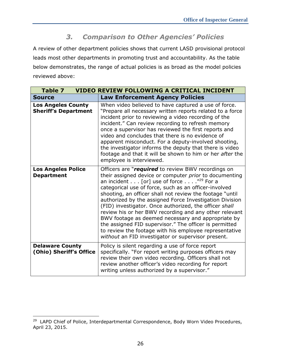## *3. Comparison to Other Agencies' Policies*

<span id="page-34-0"></span>A review of other department policies shows that current LASD provisional protocol leads most other departments in promoting trust and accountability. As the table below demonstrates, the range of actual policies is as broad as the model policies reviewed above:

| <b>Table 7</b>                                           | <b>VIDEO REVIEW FOLLOWING A CRITICAL INCIDENT</b>                                                                                                                                                                                                                                                                                                                                                                                                                                                                                                                                                                                                                                                      |
|----------------------------------------------------------|--------------------------------------------------------------------------------------------------------------------------------------------------------------------------------------------------------------------------------------------------------------------------------------------------------------------------------------------------------------------------------------------------------------------------------------------------------------------------------------------------------------------------------------------------------------------------------------------------------------------------------------------------------------------------------------------------------|
| <b>Source</b>                                            | <b>Law Enforcement Agency Policies</b>                                                                                                                                                                                                                                                                                                                                                                                                                                                                                                                                                                                                                                                                 |
| <b>Los Angeles County</b><br><b>Sheriff's Department</b> | When video believed to have captured a use of force.<br>"Prepare all necessary written reports related to a force<br>incident prior to reviewing a video recording of the<br>incident." Can review recording to refresh memory<br>once a supervisor has reviewed the first reports and<br>video and concludes that there is no evidence of<br>apparent misconduct. For a deputy-involved shooting,<br>the investigator informs the deputy that there is video<br>footage and that it will be shown to him or her after the<br>employee is interviewed.                                                                                                                                                 |
| <b>Los Angeles Police</b><br><b>Department</b>           | Officers are "required to review BWV recordings on<br>their assigned device or computer prior to documenting<br>an incident [or] use of force $\frac{1}{29}$ For a<br>categorical use of force, such as an officer-involved<br>shooting, an officer shall not review the footage "until<br>authorized by the assigned Force Investigation Division<br>(FID) investigator. Once authorized, the officer shall<br>review his or her BWV recording and any other relevant<br>BWV footage as deemed necessary and appropriate by<br>the assigned FID supervisor." The officer is permitted<br>to review the footage with his employee representative<br>without an FID investigator or supervisor present. |
| <b>Delaware County</b><br>(Ohio) Sheriff's Office        | Policy is silent regarding a use of force report<br>specifically. "For report writing purposes officers may<br>review their own video recording. Officers shall not<br>review another officer's video recording for report<br>writing unless authorized by a supervisor."                                                                                                                                                                                                                                                                                                                                                                                                                              |

j

<sup>&</sup>lt;sup>29</sup> LAPD Chief of Police, Interdepartmental Correspondence, Body Worn Video Procedures, April 23, 2015.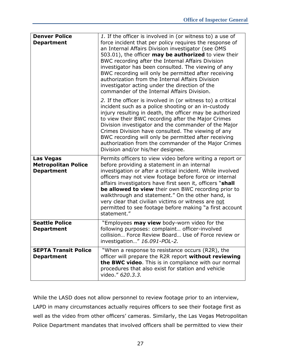| <b>Denver Police</b><br><b>Department</b>                           | 1. If the officer is involved in (or witness to) a use of<br>force incident that per policy requires the response of<br>an Internal Affairs Division investigator (see OMS<br>503.01), the officer may be authorized to view their<br>BWC recording after the Internal Affairs Division<br>investigator has been consulted. The viewing of any<br>BWC recording will only be permitted after receiving<br>authorization from the Internal Affairs Division<br>investigator acting under the direction of the<br>commander of the Internal Affairs Division. |
|---------------------------------------------------------------------|-------------------------------------------------------------------------------------------------------------------------------------------------------------------------------------------------------------------------------------------------------------------------------------------------------------------------------------------------------------------------------------------------------------------------------------------------------------------------------------------------------------------------------------------------------------|
|                                                                     | 2. If the officer is involved in (or witness to) a critical<br>incident such as a police shooting or an in-custody<br>injury resulting in death, the officer may be authorized<br>to view their BWC recording after the Major Crimes<br>Division investigator and the commander of the Major<br>Crimes Division have consulted. The viewing of any<br>BWC recording will only be permitted after receiving<br>authorization from the commander of the Major Crimes<br>Division and/or his/her designee.                                                     |
| <b>Las Vegas</b><br><b>Metropolitan Police</b><br><b>Department</b> | Permits officers to view video before writing a report or<br>before providing a statement in an internal<br>investigation or after a critical incident. While involved<br>officers may not view footage before force or internal<br>affairs investigators have first seen it, officers "shall<br>be allowed to view their own BWC recording prior to<br>walkthrough and statement." On the other hand, is<br>very clear that civilian victims or witness are not<br>permitted to see footage before making "a first account<br>statement."                  |
| <b>Seattle Police</b><br><b>Department</b>                          | "Employees <b>may view</b> body-worn video for the<br>following purposes: complaint officer-involved<br>collision Force Review Board Use of Force review or<br>investigation" 16.091-POL-2.                                                                                                                                                                                                                                                                                                                                                                 |
| <b>SEPTA Transit Police</b><br><b>Department</b>                    | "When a response to resistance occurs (R2R), the<br>officer will prepare the R2R report without reviewing<br>the BWC video. This is in compliance with our normal<br>procedures that also exist for station and vehicle<br>video." 620.3.3.                                                                                                                                                                                                                                                                                                                 |

While the LASD does not allow personnel to review footage prior to an interview, LAPD in many circumstances actually requires officers to see their footage first as well as the video from other officers' cameras. Similarly, the Las Vegas Metropolitan Police Department mandates that involved officers shall be permitted to view their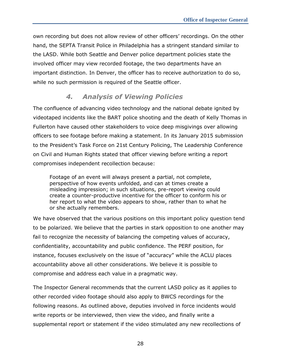own recording but does not allow review of other officers' recordings. On the other hand, the SEPTA Transit Police in Philadelphia has a stringent standard similar to the LASD. While both Seattle and Denver police department policies state the involved officer may view recorded footage, the two departments have an important distinction. In Denver, the officer has to receive authorization to do so, while no such permission is required of the Seattle officer.

### *4. Analysis of Viewing Policies*

<span id="page-36-0"></span>The confluence of advancing video technology and the national debate ignited by videotaped incidents like the BART police shooting and the death of Kelly Thomas in Fullerton have caused other stakeholders to voice deep misgivings over allowing officers to see footage before making a statement. In its January 2015 submission to the President's Task Force on 21st Century Policing, The Leadership Conference on Civil and Human Rights stated that officer viewing before writing a report compromises independent recollection because:

Footage of an event will always present a partial, not complete, perspective of how events unfolded, and can at times create a misleading impression; in such situations, pre-report viewing could create a counter-productive incentive for the officer to conform his or her report to what the video appears to show, rather than to what he or she actually remembers.

We have observed that the various positions on this important policy question tend to be polarized. We believe that the parties in stark opposition to one another may fail to recognize the necessity of balancing the competing values of accuracy, confidentiality, accountability and public confidence. The PERF position, for instance, focuses exclusively on the issue of "accuracy" while the ACLU places accountability above all other considerations. We believe it is possible to compromise and address each value in a pragmatic way.

The Inspector General recommends that the current LASD policy as it applies to other recorded video footage should also apply to BWCS recordings for the following reasons. As outlined above, deputies involved in force incidents would write reports or be interviewed, then view the video, and finally write a supplemental report or statement if the video stimulated any new recollections of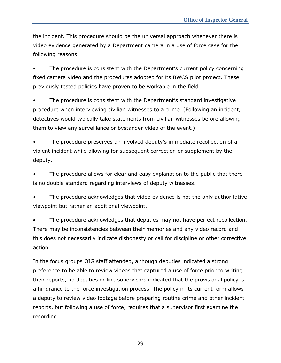the incident. This procedure should be the universal approach whenever there is video evidence generated by a Department camera in a use of force case for the following reasons:

The procedure is consistent with the Department's current policy concerning fixed camera video and the procedures adopted for its BWCS pilot project. These previously tested policies have proven to be workable in the field.

The procedure is consistent with the Department's standard investigative procedure when interviewing civilian witnesses to a crime. (Following an incident, detectives would typically take statements from civilian witnesses before allowing them to view any surveillance or bystander video of the event.)

• The procedure preserves an involved deputy's immediate recollection of a violent incident while allowing for subsequent correction or supplement by the deputy.

The procedure allows for clear and easy explanation to the public that there is no double standard regarding interviews of deputy witnesses.

• The procedure acknowledges that video evidence is not the only authoritative viewpoint but rather an additional viewpoint.

 The procedure acknowledges that deputies may not have perfect recollection. There may be inconsistencies between their memories and any video record and this does not necessarily indicate dishonesty or call for discipline or other corrective action.

In the focus groups OIG staff attended, although deputies indicated a strong preference to be able to review videos that captured a use of force prior to writing their reports, no deputies or line supervisors indicated that the provisional policy is a hindrance to the force investigation process. The policy in its current form allows a deputy to review video footage before preparing routine crime and other incident reports, but following a use of force, requires that a supervisor first examine the recording.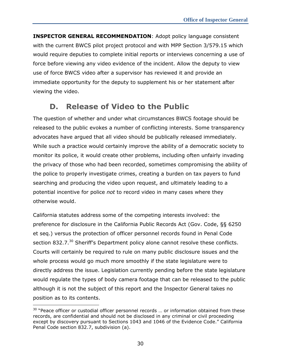**INSPECTOR GENERAL RECOMMENDATION**: Adopt policy language consistent with the current BWCS pilot project protocol and with MPP Section 3/579.15 which would require deputies to complete initial reports or interviews concerning a use of force before viewing any video evidence of the incident. Allow the deputy to view use of force BWCS video after a supervisor has reviewed it and provide an immediate opportunity for the deputy to supplement his or her statement after viewing the video.

## **D. Release of Video to the Public**

<span id="page-38-0"></span>The question of whether and under what circumstances BWCS footage should be released to the public evokes a number of conflicting interests. Some transparency advocates have argued that all video should be publically released immediately. While such a practice would certainly improve the ability of a democratic society to monitor its police, it would create other problems, including often unfairly invading the privacy of those who had been recorded, sometimes compromising the ability of the police to properly investigate crimes, creating a burden on tax payers to fund searching and producing the video upon request, and ultimately leading to a potential incentive for police *not* to record video in many cases where they otherwise would.

California statutes address some of the competing interests involved: the preference for disclosure in the California Public Records Act (Gov. Code, §§ 6250 et seq.) versus the protection of officer personnel records found in Penal Code section 832.7.<sup>30</sup> Sheriff's Department policy alone cannot resolve these conflicts. Courts will certainly be required to rule on many public disclosure issues and the whole process would go much more smoothly if the state legislature were to directly address the issue. Legislation currently pending before the state legislature would regulate the types of body camera footage that can be released to the public although it is not the subject of this report and the Inspector General takes no position as to its contents.

j

 $30$  "Peace officer or custodial officer personnel records ... or information obtained from these records, are confidential and should not be disclosed in any criminal or civil proceeding except by discovery pursuant to Sections 1043 and 1046 of the Evidence Code." California Penal Code section 832.7, subdivision (a).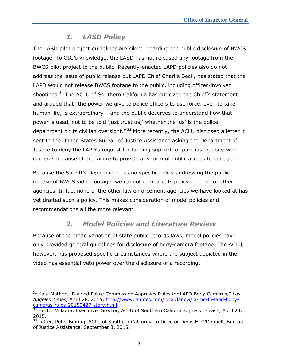### *1. LASD Policy*

<span id="page-39-0"></span>The LASD pilot project guidelines are silent regarding the public disclosure of BWCS footage. To OIG's knowledge, the LASD has not released any footage from the BWCS pilot project to the public. Recently-enacted LAPD policies also do not address the issue of public release but LAPD Chief Charlie Beck, has stated that the LAPD would not release BWCS footage to the public, including officer-involved shootings.<sup>31</sup> The ACLU of Southern California has criticized the Chief's statement and argued that "the power we give to police officers to use force, even to take human life, is extraordinary – and the public deserves to understand how that power is used, not to be told 'just trust us,' whether the 'us' is the police department or its civilian oversight."<sup>32</sup> More recently, the ACLU disclosed a letter it sent to the United States Bureau of Justice Assistance asking the Department of Justice to deny the LAPD's request for funding support for purchasing body-worn cameras because of the failure to provide any form of public access to footage.<sup>33</sup>

Because the Sheriff's Department has no specific policy addressing the public release of BWCS video footage, we cannot compare its policy to those of other agencies. In fact none of the other law enforcement agencies we have looked at has yet drafted such a policy. This makes consideration of model policies and recommendations all the more relevant.

## *2. Model Policies and Literature Review*

<span id="page-39-1"></span>Because of the broad variation of state public records laws, model policies have only provided general guidelines for disclosure of body-camera footage. The ACLU, however, has proposed specific circumstances where the subject depicted in the video has essential veto power over the disclosure of a recording.

 $\overline{a}$ 

<sup>31</sup> Kate Mather, "Divided Police Commission Approves Rules for LAPD Body Cameras," *Los Angeles Times,* April 28, 2015, [http://www.latimes.com/local/lanow/la-me-ln-lapd-body](http://www.latimes.com/local/lanow/la-me-ln-lapd-body-cameras-rules-20150427-story.html)[cameras-rules-20150427-story.html.](http://www.latimes.com/local/lanow/la-me-ln-lapd-body-cameras-rules-20150427-story.html)

 $32$  Hector Villagra, Executive Director, ACLU of Southern California, press release, April 24, 2015.

<sup>&</sup>lt;sup>33</sup> Letter, Peter Bibring, ACLU of Southern California to Director Denis E. O'Donnell, Bureau of Justice Assistance, September 3, 2015.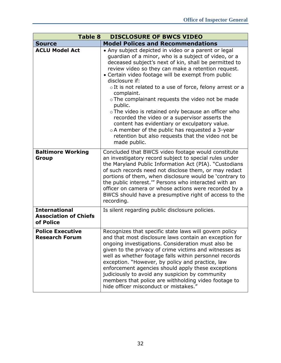| <b>Table 8</b><br><b>DISCLOSURE OF BWCS VIDEO</b>                 |                                                                                                                                                                                                                                                                                                                                                                                                                                                                                                                                                                                                                                                                                                                                 |
|-------------------------------------------------------------------|---------------------------------------------------------------------------------------------------------------------------------------------------------------------------------------------------------------------------------------------------------------------------------------------------------------------------------------------------------------------------------------------------------------------------------------------------------------------------------------------------------------------------------------------------------------------------------------------------------------------------------------------------------------------------------------------------------------------------------|
| <b>Model Polices and Recommendations</b><br><b>Source</b>         |                                                                                                                                                                                                                                                                                                                                                                                                                                                                                                                                                                                                                                                                                                                                 |
| <b>ACLU Model Act</b>                                             | • Any subject depicted in video or a parent or legal<br>guardian of a minor, who is a subject of video, or a<br>deceased subject's next of kin, shall be permitted to<br>review video so they can make a retention request.<br>• Certain video footage will be exempt from public<br>disclosure if:<br>o It is not related to a use of force, felony arrest or a<br>complaint.<br>o The complainant requests the video not be made<br>public.<br>o The video is retained only because an officer who<br>recorded the video or a supervisor asserts the<br>content has evidentiary or exculpatory value.<br>o A member of the public has requested a 3-year<br>retention but also requests that the video not be<br>made public. |
| <b>Baltimore Working</b><br><b>Group</b>                          | Concluded that BWCS video footage would constitute<br>an investigatory record subject to special rules under<br>the Maryland Public Information Act (PIA). "Custodians<br>of such records need not disclose them, or may redact<br>portions of them, when disclosure would be 'contrary to<br>the public interest." Persons who interacted with an<br>officer on camera or whose actions were recorded by a<br>BWCS should have a presumptive right of access to the<br>recording.                                                                                                                                                                                                                                              |
| <b>International</b><br><b>Association of Chiefs</b><br>of Police | Is silent regarding public disclosure policies.                                                                                                                                                                                                                                                                                                                                                                                                                                                                                                                                                                                                                                                                                 |
| <b>Police Executive</b><br><b>Research Forum</b>                  | Recognizes that specific state laws will govern policy<br>and that most disclosure laws contain an exception for<br>ongoing investigations. Consideration must also be<br>given to the privacy of crime victims and witnesses as<br>well as whether footage falls within personnel records<br>exception. "However, by policy and practice, law<br>enforcement agencies should apply these exceptions<br>judiciously to avoid any suspicion by community<br>members that police are withholding video footage to<br>hide officer misconduct or mistakes."                                                                                                                                                                        |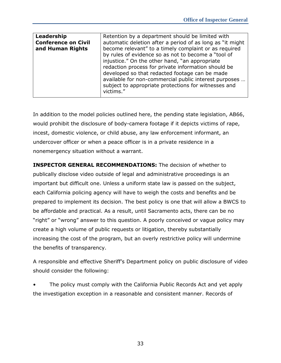| Leadership<br><b>Conference on Civil</b><br>and Human Rights | Retention by a department should be limited with<br>automatic deletion after a period of as long as "it might<br>become relevant" to a timely complaint or as required<br>by rules of evidence so as not to become a "tool of<br>injustice." On the other hand, "an appropriate<br>redaction process for private information should be<br>developed so that redacted footage can be made<br>available for non-commercial public interest purposes |
|--------------------------------------------------------------|---------------------------------------------------------------------------------------------------------------------------------------------------------------------------------------------------------------------------------------------------------------------------------------------------------------------------------------------------------------------------------------------------------------------------------------------------|
|                                                              | subject to appropriate protections for witnesses and<br>victims."                                                                                                                                                                                                                                                                                                                                                                                 |

In addition to the model policies outlined here, the pending state legislation, AB66, would prohibit the disclosure of body-camera footage if it depicts victims of rape, incest, domestic violence, or child abuse, any law enforcement informant, an undercover officer or when a peace officer is in a private residence in a nonemergency situation without a warrant.

**INSPECTOR GENERAL RECOMMENDATIONS:** The decision of whether to publically disclose video outside of legal and administrative proceedings is an important but difficult one. Unless a uniform state law is passed on the subject, each California policing agency will have to weigh the costs and benefits and be prepared to implement its decision. The best policy is one that will allow a BWCS to be affordable and practical. As a result, until Sacramento acts, there can be no "right" or "wrong" answer to this question. A poorly conceived or vague policy may create a high volume of public requests or litigation, thereby substantially increasing the cost of the program, but an overly restrictive policy will undermine the benefits of transparency.

A responsible and effective Sheriff's Department policy on public disclosure of video should consider the following:

The policy must comply with the California Public Records Act and yet apply the investigation exception in a reasonable and consistent manner. Records of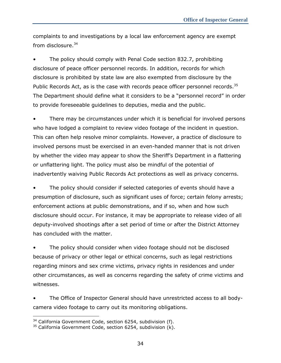complaints to and investigations by a local law enforcement agency are exempt from disclosure. $34$ 

The policy should comply with Penal Code section 832.7, prohibiting disclosure of peace officer personnel records. In addition, records for which disclosure is prohibited by state law are also exempted from disclosure by the Public Records Act, as is the case with records peace officer personnel records.<sup>35</sup> The Department should define what it considers to be a "personnel record" in order to provide foreseeable guidelines to deputies, media and the public.

• There may be circumstances under which it is beneficial for involved persons who have lodged a complaint to review video footage of the incident in question. This can often help resolve minor complaints. However, a practice of disclosure to involved persons must be exercised in an even-handed manner that is not driven by whether the video may appear to show the Sheriff's Department in a flattering or unflattering light. The policy must also be mindful of the potential of inadvertently waiving Public Records Act protections as well as privacy concerns.

• The policy should consider if selected categories of events should have a presumption of disclosure, such as significant uses of force; certain felony arrests; enforcement actions at public demonstrations, and if so, when and how such disclosure should occur. For instance, it may be appropriate to release video of all deputy-involved shootings after a set period of time or after the District Attorney has concluded with the matter.

• The policy should consider when video footage should not be disclosed because of privacy or other legal or ethical concerns, such as legal restrictions regarding minors and sex crime victims, privacy rights in residences and under other circumstances, as well as concerns regarding the safety of crime victims and witnesses.

• The Office of Inspector General should have unrestricted access to all bodycamera video footage to carry out its monitoring obligations.

j

 $34$  California Government Code, section 6254, subdivision (f).

 $35$  California Government Code, section 6254, subdivision  $(k)$ .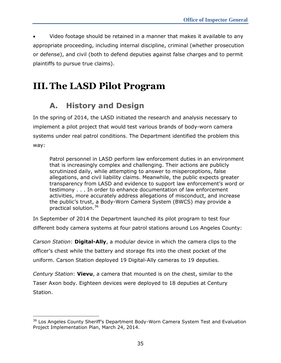Video footage should be retained in a manner that makes it available to any appropriate proceeding, including internal discipline, criminal (whether prosecution or defense), and civil (both to defend deputies against false charges and to permit plaintiffs to pursue true claims).

## <span id="page-43-1"></span><span id="page-43-0"></span>**III.The LASD Pilot Program**

## **A. History and Design**

In the spring of 2014, the LASD initiated the research and analysis necessary to implement a pilot project that would test various brands of body-worn camera systems under real patrol conditions. The Department identified the problem this way:

Patrol personnel in LASD perform law enforcement duties in an environment that is increasingly complex and challenging. Their actions are publicly scrutinized daily, while attempting to answer to misperceptions, false allegations, and civil liability claims. Meanwhile, the public expects greater transparency from LASD and evidence to support law enforcement's word or testimony . . . In order to enhance documentation of law enforcement activities, more accurately address allegations of misconduct, and increase the public's trust, a Body-Worn Camera System (BWCS) may provide a practical solution.<sup>36</sup>

In September of 2014 the Department launched its pilot program to test four different body camera systems at four patrol stations around Los Angeles County:

*Carson Station*: **Digital-Ally**, a modular device in which the camera clips to the officer's chest while the battery and storage fits into the chest pocket of the uniform. Carson Station deployed 19 Digital-Ally cameras to 19 deputies.

*Century Station*: **Vievu**, a camera that mounted is on the chest, similar to the Taser Axon body. Eighteen devices were deployed to 18 deputies at Century Station.

j <sup>36</sup> Los Angeles County Sheriff's Department Body-Worn Camera System Test and Evaluation Project Implementation Plan, March 24, 2014.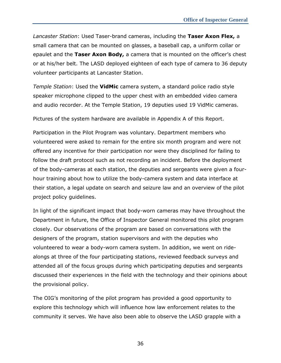*Lancaster Station*: Used Taser-brand cameras, including the **Taser Axon Flex,** a small camera that can be mounted on glasses, a baseball cap, a uniform collar or epaulet and the **Taser Axon Body,** a camera that is mounted on the officer's chest or at his/her belt. The LASD deployed eighteen of each type of camera to 36 deputy volunteer participants at Lancaster Station.

*Temple Station*: Used the **VidMic** camera system, a standard police radio style speaker microphone clipped to the upper chest with an embedded video camera and audio recorder. At the Temple Station, 19 deputies used 19 VidMic cameras.

Pictures of the system hardware are available in Appendix A of this Report.

Participation in the Pilot Program was voluntary. Department members who volunteered were asked to remain for the entire six month program and were not offered any incentive for their participation nor were they disciplined for failing to follow the draft protocol such as not recording an incident. Before the deployment of the body-cameras at each station, the deputies and sergeants were given a fourhour training about how to utilize the body-camera system and data interface at their station, a legal update on search and seizure law and an overview of the pilot project policy guidelines.

In light of the significant impact that body-worn cameras may have throughout the Department in future, the Office of Inspector General monitored this pilot program closely. Our observations of the program are based on conversations with the designers of the program, station supervisors and with the deputies who volunteered to wear a body-worn camera system. In addition, we went on ridealongs at three of the four participating stations, reviewed feedback surveys and attended all of the focus groups during which participating deputies and sergeants discussed their experiences in the field with the technology and their opinions about the provisional policy.

The OIG's monitoring of the pilot program has provided a good opportunity to explore this technology which will influence how law enforcement relates to the community it serves. We have also been able to observe the LASD grapple with a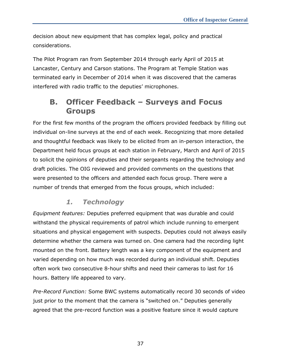decision about new equipment that has complex legal, policy and practical considerations.

The Pilot Program ran from September 2014 through early April of 2015 at Lancaster, Century and Carson stations. The Program at Temple Station was terminated early in December of 2014 when it was discovered that the cameras interfered with radio traffic to the deputies' microphones.

## <span id="page-45-0"></span>**B. Officer Feedback – Surveys and Focus Groups**

For the first few months of the program the officers provided feedback by filling out individual on-line surveys at the end of each week. Recognizing that more detailed and thoughtful feedback was likely to be elicited from an in-person interaction, the Department held focus groups at each station in February, March and April of 2015 to solicit the opinions of deputies and their sergeants regarding the technology and draft policies. The OIG reviewed and provided comments on the questions that were presented to the officers and attended each focus group. There were a number of trends that emerged from the focus groups, which included:

## *1. Technology*

<span id="page-45-1"></span>*Equipment features:* Deputies preferred equipment that was durable and could withstand the physical requirements of patrol which include running to emergent situations and physical engagement with suspects. Deputies could not always easily determine whether the camera was turned on. One camera had the recording light mounted on the front. Battery length was a key component of the equipment and varied depending on how much was recorded during an individual shift. Deputies often work two consecutive 8-hour shifts and need their cameras to last for 16 hours. Battery life appeared to vary.

*Pre-Record Function:* Some BWC systems automatically record 30 seconds of video just prior to the moment that the camera is "switched on." Deputies generally agreed that the pre-record function was a positive feature since it would capture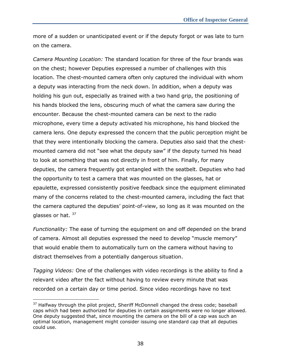more of a sudden or unanticipated event or if the deputy forgot or was late to turn on the camera.

*Camera Mounting Location:* The standard location for three of the four brands was on the chest; however Deputies expressed a number of challenges with this location. The chest-mounted camera often only captured the individual with whom a deputy was interacting from the neck down. In addition, when a deputy was holding his gun out, especially as trained with a two hand grip, the positioning of his hands blocked the lens, obscuring much of what the camera saw during the encounter. Because the chest-mounted camera can be next to the radio microphone, every time a deputy activated his microphone, his hand blocked the camera lens. One deputy expressed the concern that the public perception might be that they were intentionally blocking the camera. Deputies also said that the chestmounted camera did not "see what the deputy saw" if the deputy turned his head to look at something that was not directly in front of him. Finally, for many deputies, the camera frequently got entangled with the seatbelt. Deputies who had the opportunity to test a camera that was mounted on the glasses, hat or epaulette, expressed consistently positive feedback since the equipment eliminated many of the concerns related to the chest-mounted camera, including the fact that the camera captured the deputies' point-of-view, so long as it was mounted on the glasses or hat.  $37$ 

*Functionality:* The ease of turning the equipment on and off depended on the brand of camera. Almost all deputies expressed the need to develop "muscle memory" that would enable them to automatically turn on the camera without having to distract themselves from a potentially dangerous situation.

*Tagging Videos:* One of the challenges with video recordings is the ability to find a relevant video after the fact without having to review every minute that was recorded on a certain day or time period. Since video recordings have no text

j

 $37$  Halfway through the pilot project, Sheriff McDonnell changed the dress code; baseball caps which had been authorized for deputies in certain assignments were no longer allowed. One deputy suggested that, since mounting the camera on the bill of a cap was such an optimal location, management might consider issuing one standard cap that all deputies could use.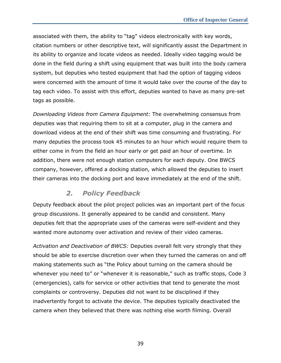associated with them, the ability to "tag" videos electronically with key words, citation numbers or other descriptive text, will significantly assist the Department in its ability to organize and locate videos as needed. Ideally video tagging would be done in the field during a shift using equipment that was built into the body camera system, but deputies who tested equipment that had the option of tagging videos were concerned with the amount of time it would take over the course of the day to tag each video. To assist with this effort, deputies wanted to have as many pre-set tags as possible.

*Downloading Videos from Camera Equipment:* The overwhelming consensus from deputies was that requiring them to sit at a computer, plug in the camera and download videos at the end of their shift was time consuming and frustrating. For many deputies the process took 45 minutes to an hour which would require them to either come in from the field an hour early or get paid an hour of overtime. In addition, there were not enough station computers for each deputy. One BWCS company, however, offered a docking station, which allowed the deputies to insert their cameras into the docking port and leave immediately at the end of the shift.

### *2. Policy Feedback*

<span id="page-47-0"></span>Deputy feedback about the pilot project policies was an important part of the focus group discussions. It generally appeared to be candid and consistent. Many deputies felt that the appropriate uses of the cameras were self-evident and they wanted more autonomy over activation and review of their video cameras.

*Activation and Deactivation of BWCS:* Deputies overall felt very strongly that they should be able to exercise discretion over when they turned the cameras on and off making statements such as "the Policy about turning on the camera should be whenever you need to" or "whenever it is reasonable," such as traffic stops, Code 3 (emergencies), calls for service or other activities that tend to generate the most complaints or controversy. Deputies did not want to be disciplined if they inadvertently forgot to activate the device. The deputies typically deactivated the camera when they believed that there was nothing else worth filming. Overall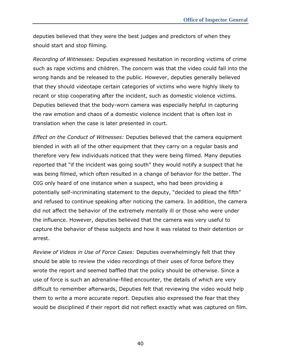deputies believed that they were the best judges and predictors of when they should start and stop filming.

*Recording of Witnesses:* Deputies expressed hesitation in recording victims of crime such as rape victims and children. The concern was that the video could fall into the wrong hands and be released to the public. However, deputies generally believed that they should videotape certain categories of victims who were highly likely to recant or stop cooperating after the incident, such as domestic violence victims. Deputies believed that the body-worn camera was especially helpful in capturing the raw emotion and chaos of a domestic violence incident that is often lost in translation when the case is later presented in court.

*Effect on the Conduct of Witnesses:* Deputies believed that the camera equipment blended in with all of the other equipment that they carry on a regular basis and therefore very few individuals noticed that they were being filmed. Many deputies reported that "if the incident was going south" they would notify a suspect that he was being filmed, which often resulted in a change of behavior for the better. The OIG only heard of one instance when a suspect, who had been providing a potentially self-incriminating statement to the deputy, "decided to plead the fifth" and refused to continue speaking after noticing the camera. In addition, the camera did not affect the behavior of the extremely mentally ill or those who were under the influence. However, deputies believed that the camera was very useful to capture the behavior of these subjects and how it was related to their detention or arrest.

*Review of Videos in Use of Force Cases:* Deputies overwhelmingly felt that they should be able to review the video recordings of their uses of force before they wrote the report and seemed baffled that the policy should be otherwise. Since a use of force is such an adrenaline-filled encounter, the details of which are very difficult to remember afterwards, Deputies felt that reviewing the video would help them to write a more accurate report. Deputies also expressed the fear that they would be disciplined if their report did not reflect exactly what was captured on film.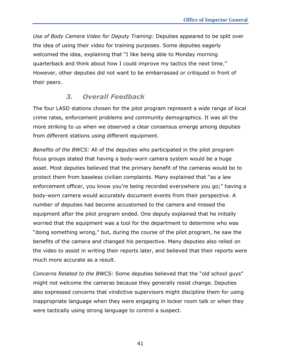*Use of Body Camera Video for Deputy Training:* Deputies appeared to be split over the idea of using their video for training purposes. Some deputies eagerly welcomed the idea, explaining that "I like being able to Monday morning quarterback and think about how I could improve my tactics the next time." However, other deputies did not want to be embarrassed or critiqued in front of their peers.

### *3. Overall Feedback*

<span id="page-49-0"></span>The four LASD stations chosen for the pilot program represent a wide range of local crime rates, enforcement problems and community demographics. It was all the more striking to us when we observed a clear consensus emerge among deputies from different stations using different equipment.

*Benefits of the BWCS:* All of the deputies who participated in the pilot program focus groups stated that having a body-worn camera system would be a huge asset. Most deputies believed that the primary benefit of the cameras would be to protect them from baseless civilian complaints. Many explained that "as a law enforcement officer, you know you're being recorded everywhere you go;" having a body-worn camera would accurately document events from their perspective. A number of deputies had become accustomed to the camera and missed the equipment after the pilot program ended. One deputy explained that he initially worried that the equipment was a tool for the department to determine who was "doing something wrong," but, during the course of the pilot program, he saw the benefits of the camera and changed his perspective. Many deputies also relied on the video to assist in writing their reports later, and believed that their reports were much more accurate as a result.

*Concerns Related to the BWCS:* Some deputies believed that the "old school guys" might not welcome the cameras because they generally resist change. Deputies also expressed concerns that vindictive supervisors might discipline them for using inappropriate language when they were engaging in locker room talk or when they were tactically using strong language to control a suspect.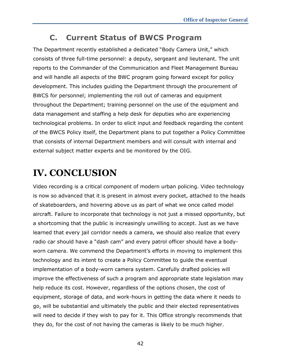## **C. Current Status of BWCS Program**

<span id="page-50-0"></span>The Department recently established a dedicated "Body Camera Unit," which consists of three full-time personnel: a deputy, sergeant and lieutenant. The unit reports to the Commander of the Communication and Fleet Management Bureau and will handle all aspects of the BWC program going forward except for policy development. This includes guiding the Department through the procurement of BWCS for personnel; implementing the roll out of cameras and equipment throughout the Department; training personnel on the use of the equipment and data management and staffing a help desk for deputies who are experiencing technological problems. In order to elicit input and feedback regarding the content of the BWCS Policy itself, the Department plans to put together a Policy Committee that consists of internal Department members and will consult with internal and external subject matter experts and be monitored by the OIG.

## <span id="page-50-1"></span>**IV. CONCLUSION**

Video recording is a critical component of modern urban policing. Video technology is now so advanced that it is present in almost every pocket, attached to the heads of skateboarders, and hovering above us as part of what we once called model aircraft. Failure to incorporate that technology is not just a missed opportunity, but a shortcoming that the public is increasingly unwilling to accept. Just as we have learned that every jail corridor needs a camera, we should also realize that every radio car should have a "dash cam" and every patrol officer should have a bodyworn camera. We commend the Department's efforts in moving to implement this technology and its intent to create a Policy Committee to guide the eventual implementation of a body-worn camera system. Carefully drafted policies will improve the effectiveness of such a program and appropriate state legislation may help reduce its cost. However, regardless of the options chosen, the cost of equipment, storage of data, and work-hours in getting the data where it needs to go, will be substantial and ultimately the public and their elected representatives will need to decide if they wish to pay for it. This Office strongly recommends that they do, for the cost of not having the cameras is likely to be much higher.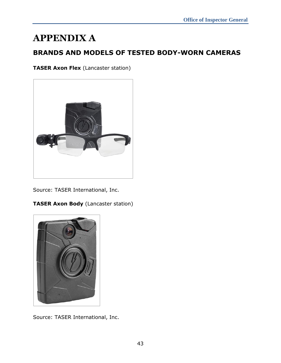## <span id="page-51-0"></span>**APPENDIX A**

## **BRANDS AND MODELS OF TESTED BODY-WORN CAMERAS**

**TASER Axon Flex** (Lancaster station)



Source: TASER International, Inc.

**TASER Axon Body** (Lancaster station)



Source: TASER International, Inc.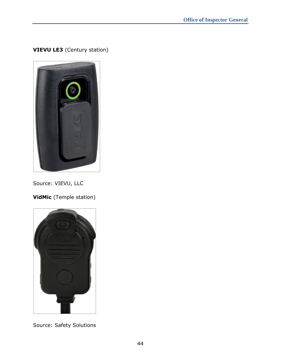### **VIEVU LE3** (Century station)



Source: VIEVU, LLC

**VidMic** (Temple station)



Source: Safety Solutions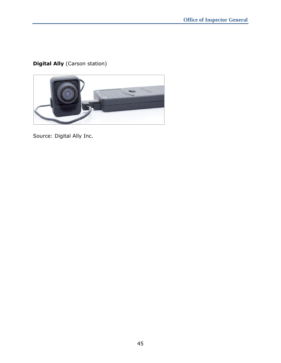## **Digital Ally** (Carson station)



Source: Digital Ally Inc.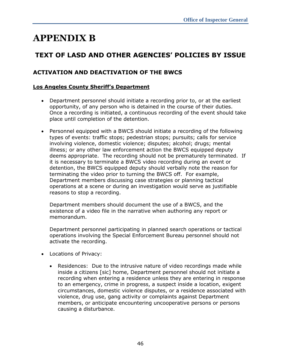## <span id="page-54-0"></span>**APPENDIX B**

## **TEXT OF LASD AND OTHER AGENCIES' POLICIES BY ISSUE**

### **ACTIVATION AND DEACTIVATION OF THE BWCS**

#### **Los Angeles County Sheriff's Department**

- Department personnel should initiate a recording prior to, or at the earliest opportunity, of any person who is detained in the course of their duties. Once a recording is initiated, a continuous recording of the event should take place until completion of the detention.
- Personnel equipped with a BWCS should initiate a recording of the following types of events: traffic stops; pedestrian stops; pursuits; calls for service involving violence, domestic violence; disputes; alcohol; drugs; mental illness; or any other law enforcement action the BWCS equipped deputy deems appropriate. The recording should not be prematurely terminated. If it is necessary to terminate a BWCS video recording during an event or detention, the BWCS equipped deputy should verbally note the reason for terminating the video prior to turning the BWCS off. For example, Department members discussing case strategies or planning tactical operations at a scene or during an investigation would serve as justifiable reasons to stop a recording.

Department members should document the use of a BWCS, and the existence of a video file in the narrative when authoring any report or memorandum.

Department personnel participating in planned search operations or tactical operations involving the Special Enforcement Bureau personnel should not activate the recording.

- Locations of Privacy:
	- Residences: Due to the intrusive nature of video recordings made while inside a citizens [sic] home, Department personnel should not initiate a recording when entering a residence unless they are entering in response to an emergency, crime in progress, a suspect inside a location, exigent circumstances, domestic violence disputes, or a residence associated with violence, drug use, gang activity or complaints against Department members, or anticipate encountering uncooperative persons or persons causing a disturbance.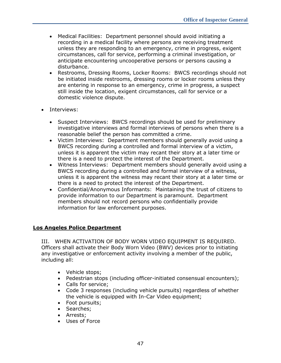- Medical Facilities: Department personnel should avoid initiating a recording in a medical facility where persons are receiving treatment unless they are responding to an emergency, crime in progress, exigent circumstances, call for service, performing a criminal investigation, or anticipate encountering uncooperative persons or persons causing a disturbance.
- Restrooms, Dressing Rooms, Locker Rooms: BWCS recordings should not be initiated inside restrooms, dressing rooms or locker rooms unless they are entering in response to an emergency, crime in progress, a suspect still inside the location, exigent circumstances, call for service or a domestic violence dispute.
- Interviews:
	- Suspect Interviews: BWCS recordings should be used for preliminary investigative interviews and formal interviews of persons when there is a reasonable belief the person has committed a crime.
	- Victim Interviews: Department members should generally avoid using a BWCS recording during a controlled and formal interview of a victim, unless it is apparent the victim may recant their story at a later time or there is a need to protect the interest of the Department.
	- Witness Interviews: Department members should generally avoid using a BWCS recording during a controlled and formal interview of a witness, unless it is apparent the witness may recant their story at a later time or there is a need to protect the interest of the Department.
	- Confidential/Anonymous Informants: Maintaining the trust of citizens to provide information to our Department is paramount. Department members should not record persons who confidentially provide information for law enforcement purposes.

#### **Los Angeles Police Department**

III. WHEN ACTIVATION OF BODY WORN VIDEO EQUIPMENT IS REQUIRED. Officers shall activate their Body Worn Video (BWV) devices prior to initiating any investigative or enforcement activity involving a member of the public, including all:

- Vehicle stops;
- Pedestrian stops (including officer-initiated consensual encounters);
- Calls for service;
- Code 3 responses (including vehicle pursuits) regardless of whether the vehicle is equipped with In-Car Video equipment;
- Foot pursuits;
- Searches;
- Arrests;
- Uses of Force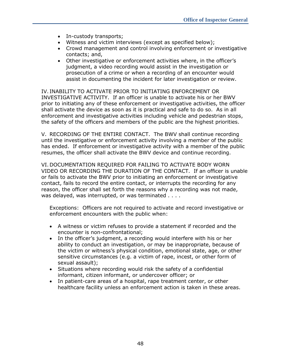- In-custody transports;
- Witness and victim interviews (except as specified below);
- Crowd management and control involving enforcement or investigative contacts; and,
- Other investigative or enforcement activities where, in the officer's judgment, a video recording would assist in the investigation or prosecution of a crime or when a recording of an encounter would assist in documenting the incident for later investigation or review.

IV. INABILITY TO ACTIVATE PRIOR TO INITIATING ENFORCEMENT OR INVESTIGATIVE ACTIVITY. If an officer is unable to activate his or her BWV prior to initiating any of these enforcement or investigative activities, the officer shall activate the device as soon as it is practical and safe to do so. As in all enforcement and investigative activities including vehicle and pedestrian stops, the safety of the officers and members of the public are the highest priorities.

V. RECORDING OF THE ENTIRE CONTACT. The BWV shall continue recording until the investigative or enforcement activity involving a member of the public has ended. If enforcement or investigative activity with a member of the public resumes, the officer shall activate the BWV device and continue recording.

VI. DOCUMENTATION REQUIRED FOR FAILING TO ACTIVATE BODY WORN VIDEO OR RECORDING THE DURATION OF THE CONTACT. If an officer is unable or fails to activate the BWV prior to initiating an enforcement or investigative contact, fails to record the entire contact, or interrupts the recording for any reason, the officer shall set forth the reasons why a recording was not made, was delayed, was interrupted, or was terminated . . . .

Exceptions: Officers are not required to activate and record investigative or enforcement encounters with the public when:

- A witness or victim refuses to provide a statement if recorded and the encounter is non-confrontational;
- In the officer's judgment, a recording would interfere with his or her ability to conduct an investigation, or may be inappropriate, because of the victim or witness's physical condition, emotional state, age, or other sensitive circumstances (e.g. a victim of rape, incest, or other form of sexual assault);
- Situations where recording would risk the safety of a confidential informant, citizen informant, or undercover officer; or
- In patient-care areas of a hospital, rape treatment center, or other healthcare facility unless an enforcement action is taken in these areas.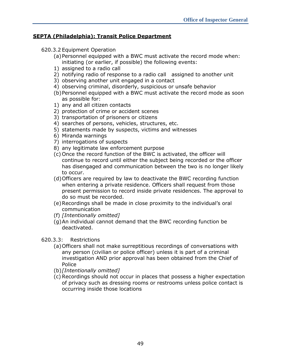#### **SEPTA (Philadelphia): Transit Police Department**

#### 620.3.2 Equipment Operation

- (a)Personnel equipped with a BWC must activate the record mode when: initiating (or earlier, if possible) the following events:
- 1) assigned to a radio call
- 2) notifying radio of response to a radio call assigned to another unit
- 3) observing another unit engaged in a contact
- 4) observing criminal, disorderly, suspicious or unsafe behavior
- (b)Personnel equipped with a BWC must activate the record mode as soon as possible for:
- 1) any and all citizen contacts
- 2) protection of crime or accident scenes
- 3) transportation of prisoners or citizens
- 4) searches of persons, vehicles, structures, etc.
- 5) statements made by suspects, victims and witnesses
- 6) Miranda warnings
- 7) interrogations of suspects
- 8) any legitimate law enforcement purpose
- (c) Once the record function of the BWC is activated, the officer will continue to record until either the subject being recorded or the officer has disengaged and communication between the two is no longer likely to occur.
- (d)Officers are required by law to deactivate the BWC recording function when entering a private residence. Officers shall request from those present permission to record inside private residences. The approval to do so must be recorded.
- (e)Recordings shall be made in close proximity to the individual's oral communication
- (f) *[Intentionally omitted]*
- (g)An individual cannot demand that the BWC recording function be deactivated.

#### 620.3.3: Restrictions

- (a)Officers shall not make surreptitious recordings of conversations with any person (civilian or police officer) unless it is part of a criminal investigation AND prior approval has been obtained from the Chief of Police
- (b)*[Intentionally omitted]*
- (c) Recordings should not occur in places that possess a higher expectation of privacy such as dressing rooms or restrooms unless police contact is occurring inside those locations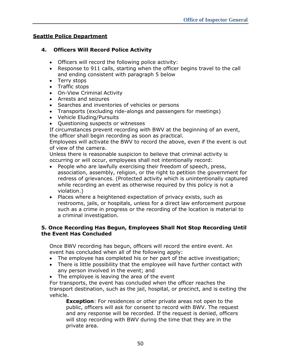#### **Seattle Police Department**

#### **4. Officers Will Record Police Activity**

- Officers will record the following police activity:
- Response to 911 calls, starting when the officer begins travel to the call and ending consistent with paragraph 5 below
- Terry stops
- Traffic stops
- On-View Criminal Activity
- Arrests and seizures
- Searches and inventories of vehicles or persons
- Transports (excluding ride-alongs and passengers for meetings)
- Vehicle Eluding/Pursuits
- Questioning suspects or witnesses

If circumstances prevent recording with BWV at the beginning of an event, the officer shall begin recording as soon as practical.

Employees will activate the BWV to record the above, even if the event is out of view of the camera.

Unless there is reasonable suspicion to believe that criminal activity is occurring or will occur, employees shall not intentionally record:

- People who are lawfully exercising their freedom of speech, press, association, assembly, religion, or the right to petition the government for redress of grievances. (Protected activity which is unintentionally captured while recording an event as otherwise required by this policy is not a violation.)
- Places where a heightened expectation of privacy exists, such as restrooms, jails, or hospitals, unless for a direct law enforcement purpose such as a crime in progress or the recording of the location is material to a criminal investigation.

#### **5. Once Recording Has Begun, Employees Shall Not Stop Recording Until the Event Has Concluded**

Once BWV recording has begun, officers will record the entire event. An event has concluded when all of the following apply:

- The employee has completed his or her part of the active investigation;
- There is little possibility that the employee will have further contact with any person involved in the event; and
- The employee is leaving the area of the event

For transports, the event has concluded when the officer reaches the transport destination, such as the jail, hospital, or precinct, and is exiting the vehicle.

**Exception**: For residences or other private areas not open to the public, officers will ask for consent to record with BWV. The request and any response will be recorded. If the request is denied, officers will stop recording with BWV during the time that they are in the private area.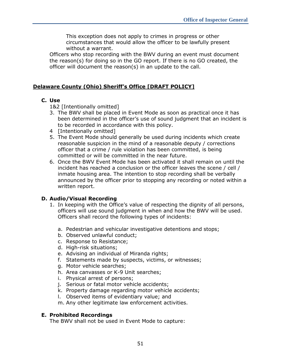This exception does not apply to crimes in progress or other circumstances that would allow the officer to be lawfully present without a warrant.

Officers who stop recording with the BWV during an event must document the reason(s) for doing so in the GO report. If there is no GO created, the officer will document the reason(s) in an update to the call.

#### **Delaware County (Ohio) Sheriff's Office [DRAFT POLICY]**

#### **C. Use**

1&2 [Intentionally omitted]

- 3. The BWV shall be placed in Event Mode as soon as practical once it has been determined in the officer's use of sound judgment that an incident is to be recorded in accordance with this policy.
- 4 [Intentionally omitted]
- 5. The Event Mode should generally be used during incidents which create reasonable suspicion in the mind of a reasonable deputy / corrections officer that a crime / rule violation has been committed, is being committed or will be committed in the near future.
- 6. Once the BWV Event Mode has been activated it shall remain on until the incident has reached a conclusion or the officer leaves the scene / cell / inmate housing area. The intention to stop recording shall be verbally announced by the officer prior to stopping any recording or noted within a written report.

#### **D. Audio/Visual Recording**

- 1. In keeping with the Office's value of respecting the dignity of all persons, officers will use sound judgment in when and how the BWV will be used. Officers shall record the following types of incidents:
	- a. Pedestrian and vehicular investigative detentions and stops;
	- b. Observed unlawful conduct;
	- c. Response to Resistance;
	- d. High-risk situations;
	- e. Advising an individual of Miranda rights;
	- f. Statements made by suspects, victims, or witnesses;
	- g. Motor vehicle searches;
	- h. Area canvasses or K-9 Unit searches;
	- i. Physical arrest of persons;
	- j. Serious or fatal motor vehicle accidents;
	- k. Property damage regarding motor vehicle accidents;
	- l. Observed items of evidentiary value; and

m. Any other legitimate law enforcement activities.

#### **E. Prohibited Recordings**

The BWV shall not be used in Event Mode to capture: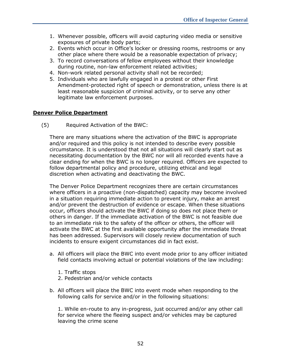- 1. Whenever possible, officers will avoid capturing video media or sensitive exposures of private body parts;
- 2. Events which occur in Office's locker or dressing rooms, restrooms or any other place where there would be a reasonable expectation of privacy;
- 3. To record conversations of fellow employees without their knowledge during routine, non-law enforcement related activities;
- 4. Non-work related personal activity shall not be recorded;
- 5. Individuals who are lawfully engaged in a protest or other First Amendment-protected right of speech or demonstration, unless there is at least reasonable suspicion of criminal activity, or to serve any other legitimate law enforcement purposes.

#### **Denver Police Department**

(5) Required Activation of the BWC:

There are many situations where the activation of the BWC is appropriate and/or required and this policy is not intended to describe every possible circumstance. It is understood that not all situations will clearly start out as necessitating documentation by the BWC nor will all recorded events have a clear ending for when the BWC is no longer required. Officers are expected to follow departmental policy and procedure, utilizing ethical and legal discretion when activating and deactivating the BWC.

The Denver Police Department recognizes there are certain circumstances where officers in a proactive (non-dispatched) capacity may become involved in a situation requiring immediate action to prevent injury, make an arrest and/or prevent the destruction of evidence or escape. When these situations occur, officers should activate the BWC if doing so does not place them or others in danger. If the immediate activation of the BWC is not feasible due to an immediate risk to the safety of the officer or others, the officer will activate the BWC at the first available opportunity after the immediate threat has been addressed. Supervisors will closely review documentation of such incidents to ensure exigent circumstances did in fact exist.

- a. All officers will place the BWC into event mode prior to any officer initiated field contacts involving actual or potential violations of the law including:
	- 1. Traffic stops
	- 2. Pedestrian and/or vehicle contacts
- b. All officers will place the BWC into event mode when responding to the following calls for service and/or in the following situations:

1. While en-route to any in-progress, just occurred and/or any other call for service where the fleeing suspect and/or vehicles may be captured leaving the crime scene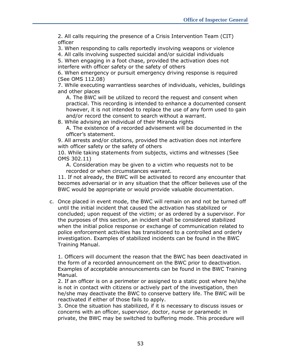2. All calls requiring the presence of a Crisis Intervention Team (CIT) officer

3. When responding to calls reportedly involving weapons or violence

4. All calls involving suspected suicidal and/or suicidal individuals

5. When engaging in a foot chase, provided the activation does not interfere with officer safety or the safety of others

6. When emergency or pursuit emergency driving response is required (See OMS 112.08)

7. While executing warrantless searches of individuals, vehicles, buildings and other places

A. The BWC will be utilized to record the request and consent when practical. This recording is intended to enhance a documented consent however, it is not intended to replace the use of any form used to gain and/or record the consent to search without a warrant.

8. While advising an individual of their Miranda rights A. The existence of a recorded advisement will be documented in the officer's statement.

9. All arrests and/or citations, provided the activation does not interfere with officer safety or the safety of others

10. While taking statements from subjects, victims and witnesses (See OMS 302.11)

A. Consideration may be given to a victim who requests not to be recorded or when circumstances warrant.

11. If not already, the BWC will be activated to record any encounter that becomes adversarial or in any situation that the officer believes use of the BWC would be appropriate or would provide valuable documentation.

c. Once placed in event mode, the BWC will remain on and not be turned off until the initial incident that caused the activation has stabilized or concluded; upon request of the victim; or as ordered by a supervisor. For the purposes of this section, an incident shall be considered stabilized when the initial police response or exchange of communication related to police enforcement activities has transitioned to a controlled and orderly investigation. Examples of stabilized incidents can be found in the BWC Training Manual.

1. Officers will document the reason that the BWC has been deactivated in the form of a recorded announcement on the BWC prior to deactivation. Examples of acceptable announcements can be found in the BWC Training Manual.

2. If an officer is on a perimeter or assigned to a static post where he/she is not in contact with citizens or actively part of the investigation, then he/she may deactivate the BWC to conserve battery life. The BWC will be reactivated if either of those fails to apply.

3. Once the situation has stabilized, if it is necessary to discuss issues or concerns with an officer, supervisor, doctor, nurse or paramedic in private, the BWC may be switched to buffering mode. This procedure will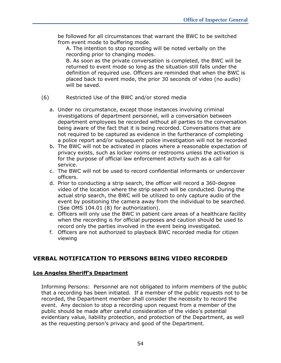be followed for all circumstances that warrant the BWC to be switched from event mode to buffering mode.

A. The intention to stop recording will be noted verbally on the recording prior to changing modes.

B. As soon as the private conversation is completed, the BWC will be returned to event mode so long as the situation still falls under the definition of required use. Officers are reminded that when the BWC is placed back to event mode, the prior 30 seconds of video (no audio) will be saved.

- (6) Restricted Use of the BWC and/or stored media
	- a. Under no circumstance, except those instances involving criminal investigations of department personnel, will a conversation between department employees be recorded without all parties to the conversation being aware of the fact that it is being recorded. Conversations that are not required to be captured as evidence in the furtherance of completing a police report and/or subsequent police investigation will not be recorded
	- b. The BWC will not be activated in places where a reasonable expectation of privacy exists, such as locker rooms or restrooms unless the activation is for the purpose of official law enforcement activity such as a call for service.
	- c. The BWC will not be used to record confidential informants or undercover officers.
	- d. Prior to conducting a strip search, the officer will record a 360-degree video of the location where the strip search will be conducted. During the actual strip search, the BWC will be utilized to only capture audio of the event by positioning the camera away from the individual to be searched. (See OMS 104.01 (8) for authorization).
	- e. Officers will only use the BWC in patient care areas of a healthcare facility when the recording is for official purposes and caution should be used to record only the parties involved in the event being investigated.
	- f. Officers are not authorized to playback BWC recorded media for citizen viewing

#### **VERBAL NOTIFICATION TO PERSONS BEING VIDEO RECORDED**

#### **Los Angeles Sheriff's Department**

Informing Persons: Personnel are not obligated to inform members of the public that a recording has been initiated. If a member of the public requests not to be recorded, the Department member shall consider the necessity to record the event. Any decision to stop a recording upon request from a member of the public should be made after careful consideration of the video's potential evidentiary value, liability protection, and protection of the Department, as well as the requesting person's privacy and good of the Department.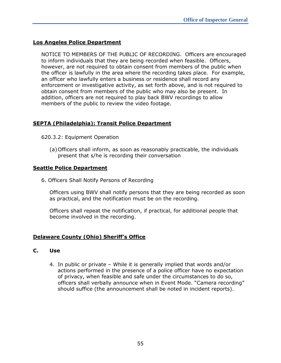#### **Los Angeles Police Department**

NOTICE TO MEMBERS OF THE PUBLIC OF RECORDING. Officers are encouraged to inform individuals that they are being recorded when feasible. Officers, however, are not required to obtain consent from members of the public when the officer is lawfully in the area where the recording takes place. For example, an officer who lawfully enters a business or residence shall record any enforcement or investigative activity, as set forth above, and is not required to obtain consent from members of the public who may also be present. In addition, officers are not required to play back BWV recordings to allow members of the public to review the video footage.

#### **SEPTA (Philadelphia): Transit Police Department**

- 620.3.2: Equipment Operation
	- (a)Officers shall inform, as soon as reasonably practicable, the individuals present that s/he is recording their conversation

#### **Seattle Police Department**

6. Officers Shall Notify Persons of Recording

Officers using BWV shall notify persons that they are being recorded as soon as practical, and the notification must be on the recording.

Officers shall repeat the notification, if practical, for additional people that become involved in the recording.

#### **Delaware County (Ohio) Sheriff's Office**

#### **C. Use**

4. In public or private – While it is generally implied that words and/or actions performed in the presence of a police officer have no expectation of privacy, when feasible and safe under the circumstances to do so, officers shall verbally announce when in Event Mode. "Camera recording" should suffice (the announcement shall be noted in incident reports).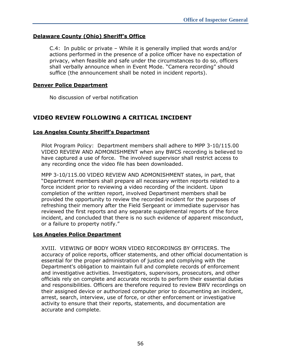#### **Delaware County (Ohio) Sheriff's Office**

C.4: In public or private – While it is generally implied that words and/or actions performed in the presence of a police officer have no expectation of privacy, when feasible and safe under the circumstances to do so, officers shall verbally announce when in Event Mode. "Camera recording" should suffice (the announcement shall be noted in incident reports).

#### **Denver Police Department**

No discussion of verbal notification

#### **VIDEO REVIEW FOLLOWING A CRITICAL INCIDENT**

#### **Los Angeles County Sheriff's Department**

Pilot Program Policy: Department members shall adhere to MPP 3-10/115.00 VIDEO REVIEW AND ADMONISHMENT when any BWCS recording is believed to have captured a use of force. The involved supervisor shall restrict access to any recording once the video file has been downloaded.

MPP 3-10/115.00 VIDEO REVIEW AND ADMONISHMENT states, in part, that "Department members shall prepare all necessary written reports related to a force incident prior to reviewing a video recording of the incident. Upon completion of the written report, involved Department members shall be provided the opportunity to review the recorded incident for the purposes of refreshing their memory after the Field Sergeant or immediate supervisor has reviewed the first reports and any separate supplemental reports of the force incident, and concluded that there is no such evidence of apparent misconduct, or a failure to property notify."

#### **Los Angeles Police Department**

XVIII. VIEWING OF BODY WORN VIDEO RECORDINGS BY OFFICERS. The accuracy of police reports, officer statements, and other official documentation is essential for the proper administration of justice and complying with the Department's obligation to maintain full and complete records of enforcement and investigative activities. Investigators, supervisors, prosecutors, and other officials rely on complete and accurate records to perform their essential duties and responsibilities. Officers are therefore required to review BWV recordings on their assigned device or authorized computer prior to documenting an incident, arrest, search, interview, use of force, or other enforcement or investigative activity to ensure that their reports, statements, and documentation are accurate and complete.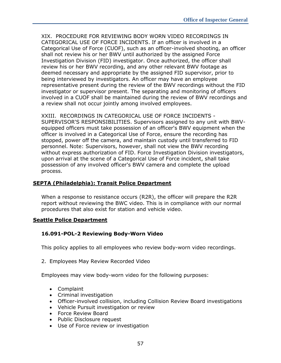XIX. PROCEDURE FOR REVIEWING BODY WORN VIDEO RECORDINGS IN CATEGORICAL USE OF FORCE INCIDENTS. If an officer is involved in a Categorical Use of Force (CUOF), such as an officer-involved shooting, an officer shall not review his or her BWV until authorized by the assigned Force Investigation Division (FID) investigator. Once authorized, the officer shall review his or her BWV recording, and any other relevant BWV footage as deemed necessary and appropriate by the assigned FID supervisor, prior to being interviewed by investigators. An officer may have an employee representative present during the review of the BWV recordings without the FID investigator or supervisor present. The separating and monitoring of officers involved in a CUOF shall be maintained during the review of BWV recordings and a review shall not occur jointly among involved employees.

XXIII. RECORDINGS IN CATEGORICAL USE OF FORCE INCIDENTS - SUPERVISOR'S RESPONSIBILITIES. Supervisors assigned to any unit with BWVequipped officers must take possession of an officer's BWV equipment when the officer is involved in a Categorical Use of Force, ensure the recording has stopped, power off the camera, and maintain custody until transferred to FID personnel. Note: Supervisors, however, shall not view the BWV recording without express authorization of FID. Force Investigation Division investigators, upon arrival at the scene of a Categorical Use of Force incident, shall take possession of any involved officer's BWV camera and complete the upload process.

#### **SEPTA (Philadelphia): Transit Police Department**

When a response to resistance occurs (R2R), the officer will prepare the R2R report without reviewing the BWC video. This is in compliance with our normal procedures that also exist for station and vehicle video.

#### **Seattle Police Department**

#### **16.091-POL-2 Reviewing Body-Worn Video**

This policy applies to all employees who review body-worn video recordings.

2. Employees May Review Recorded Video

Employees may view body-worn video for the following purposes:

- Complaint
- Criminal investigation
- Officer-involved collision, including Collision Review Board investigations
- Vehicle Pursuit investigation or review
- Force Review Board
- Public Disclosure request
- Use of Force review or investigation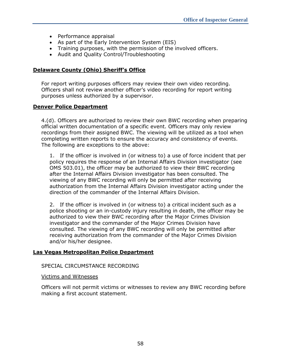- Performance appraisal
- As part of the Early Intervention System (EIS)
- Training purposes, with the permission of the involved officers.
- Audit and Quality Control/Troubleshooting

#### **Delaware County (Ohio) Sheriff's Office**

For report writing purposes officers may review their own video recording. Officers shall not review another officer's video recording for report writing purposes unless authorized by a supervisor.

#### **Denver Police Department**

4.(d). Officers are authorized to review their own BWC recording when preparing official written documentation of a specific event. Officers may only review recordings from their assigned BWC. The viewing will be utilized as a tool when completing written reports to ensure the accuracy and consistency of events. The following are exceptions to the above:

1. If the officer is involved in (or witness to) a use of force incident that per policy requires the response of an Internal Affairs Division investigator (see OMS 503.01), the officer may be authorized to view their BWC recording after the Internal Affairs Division investigator has been consulted. The viewing of any BWC recording will only be permitted after receiving authorization from the Internal Affairs Division investigator acting under the direction of the commander of the Internal Affairs Division.

2. If the officer is involved in (or witness to) a critical incident such as a police shooting or an in-custody injury resulting in death, the officer may be authorized to view their BWC recording after the Major Crimes Division investigator and the commander of the Major Crimes Division have consulted. The viewing of any BWC recording will only be permitted after receiving authorization from the commander of the Major Crimes Division and/or his/her designee.

#### **Las Vegas Metropolitan Police Department**

#### SPECIAL CIRCUMSTANCE RECORDING

#### Victims and Witnesses

Officers will not permit victims or witnesses to review any BWC recording before making a first account statement.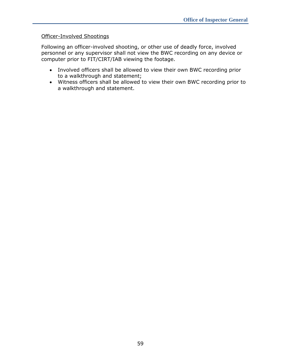#### Officer-Involved Shootings

Following an officer-involved shooting, or other use of deadly force, involved personnel or any supervisor shall not view the BWC recording on any device or computer prior to FIT/CIRT/IAB viewing the footage.

- Involved officers shall be allowed to view their own BWC recording prior to a walkthrough and statement;
- Witness officers shall be allowed to view their own BWC recording prior to a walkthrough and statement.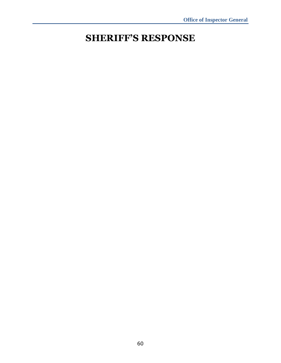## <span id="page-68-0"></span>**SHERIFF'S RESPONSE**